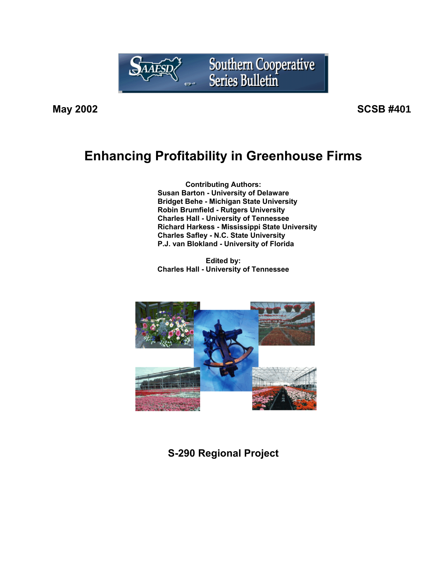

**May 2002 SCSB #401**

# **Enhancing Profitability in Greenhouse Firms**

**Contributing Authors: Susan Barton - University of Delaware Bridget Behe - Michigan State University Robin Brumfield - Rutgers University Charles Hall - University of Tennessee Richard Harkess - Mississippi State University Charles Safley - N.C. State University P.J. van Blokland - University of Florida**

**Edited by: Charles Hall - University of Tennessee**



**S-290 Regional Project**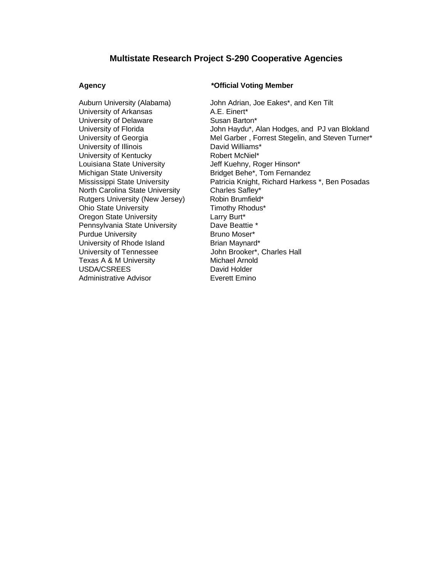# **Multistate Research Project S-290 Cooperative Agencies**

University of Arkansas A.E. Einert\* University of Delaware **Susan Barton**\* University of Illinois **David Williams**\* University of Kentucky **Robert McNiel\*** Louisiana State University **Jeff Kuehny, Roger Hinson\*** Michigan State University **Bridget Behe\*, Tom Fernandez** North Carolina State University Charles Safley\* Rutgers University (New Jersey) Robin Brumfield\* Ohio State University Timothy Rhodus\* Oregon State University **Larry Burt\*** Pennsylvania State University Dave Beattie \* Purdue University **Bruno Moser**\* University of Rhode Island **Brian Maynard\*** University of Tennessee **John Brooker\*, Charles Hall** Texas A & M University **Michael Arnold**<br>
USDA/CSREES David Holder USDA/CSREES Administrative Advisor **Exerett Emino** 

## **Agency \*Official Voting Member**

Auburn University (Alabama) John Adrian, Joe Eakes\*, and Ken Tilt University of Florida **John Haydu\*, Alan Hodges, and PJ van Blokland** University of Georgia **Mel Garber** , Forrest Stegelin, and Steven Turner\* Mississippi State University Patricia Knight, Richard Harkess \*, Ben Posadas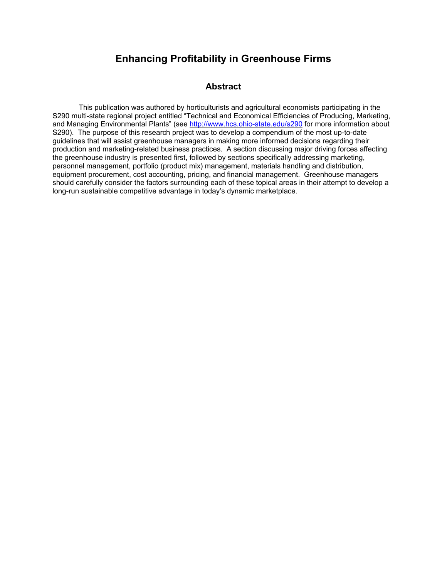# **Enhancing Profitability in Greenhouse Firms**

# **Abstract**

This publication was authored by horticulturists and agricultural economists participating in the S290 multi-state regional project entitled "Technical and Economical Efficiencies of Producing, Marketing, and Managing Environmental Plants" (see http://www.hcs.ohio-state.edu/s290 for more information about S290). The purpose of this research project was to develop a compendium of the most up-to-date guidelines that will assist greenhouse managers in making more informed decisions regarding their production and marketing-related business practices. A section discussing major driving forces affecting the greenhouse industry is presented first, followed by sections specifically addressing marketing, personnel management, portfolio (product mix) management, materials handling and distribution, equipment procurement, cost accounting, pricing, and financial management. Greenhouse managers should carefully consider the factors surrounding each of these topical areas in their attempt to develop a long-run sustainable competitive advantage in today's dynamic marketplace.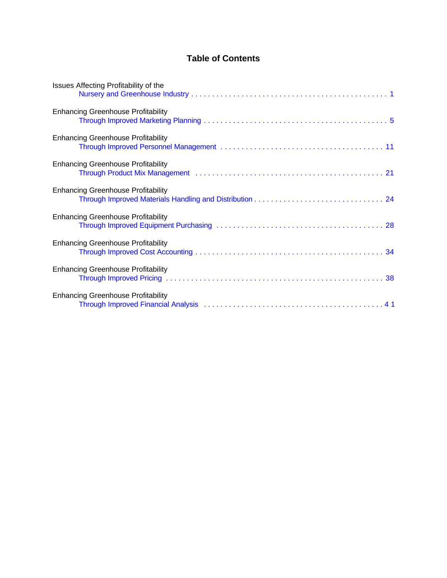# **Table of Contents**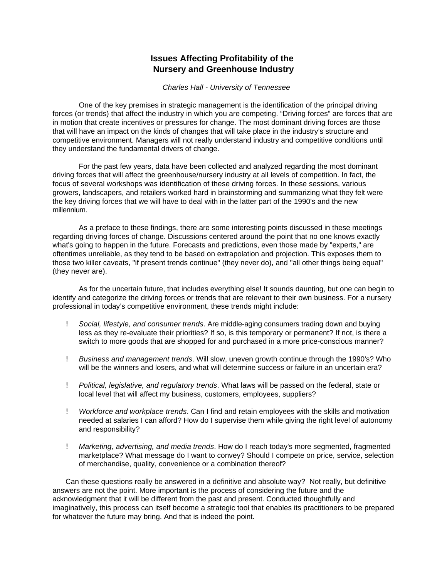# **Issues Affecting Profitability of the Nursery and Greenhouse Industry**

*Charles Hall - University of Tennessee*

<span id="page-4-0"></span>One of the key premises in strategic management is the identification of the principal driving forces (or trends) that affect the industry in which you are competing. "Driving forces" are forces that are in motion that create incentives or pressures for change. The most dominant driving forces are those that will have an impact on the kinds of changes that will take place in the industry's structure and competitive environment. Managers will not really understand industry and competitive conditions until they understand the fundamental drivers of change.

For the past few years, data have been collected and analyzed regarding the most dominant driving forces that will affect the greenhouse/nursery industry at all levels of competition. In fact, the focus of several workshops was identification of these driving forces. In these sessions, various growers, landscapers, and retailers worked hard in brainstorming and summarizing what they felt were the key driving forces that we will have to deal with in the latter part of the 1990's and the new millennium.

As a preface to these findings, there are some interesting points discussed in these meetings regarding driving forces of change. Discussions centered around the point that no one knows exactly what's going to happen in the future. Forecasts and predictions, even those made by "experts," are oftentimes unreliable, as they tend to be based on extrapolation and projection. This exposes them to those two killer caveats, "if present trends continue" (they never do), and "all other things being equal" (they never are).

As for the uncertain future, that includes everything else! It sounds daunting, but one can begin to identify and categorize the driving forces or trends that are relevant to their own business. For a nursery professional in today's competitive environment, these trends might include:

- ! *Social, lifestyle, and consumer trends*. Are middle-aging consumers trading down and buying less as they re-evaluate their priorities? If so, is this temporary or permanent? If not, is there a switch to more goods that are shopped for and purchased in a more price-conscious manner?
- ! *Business and management trends*. Will slow, uneven growth continue through the 1990's? Who will be the winners and losers, and what will determine success or failure in an uncertain era?
- ! *Political, legislative, and regulatory trends*. What laws will be passed on the federal, state or local level that will affect my business, customers, employees, suppliers?
- ! *Workforce and workplace trends*. Can I find and retain employees with the skills and motivation needed at salaries I can afford? How do I supervise them while giving the right level of autonomy and responsibility?
- ! *Marketing, advertising, and media trends*. How do I reach today's more segmented, fragmented marketplace? What message do I want to convey? Should I compete on price, service, selection of merchandise, quality, convenience or a combination thereof?

Can these questions really be answered in a definitive and absolute way? Not really, but definitive answers are not the point. More important is the process of considering the future and the acknowledgment that it will be different from the past and present. Conducted thoughtfully and imaginatively, this process can itself become a strategic tool that enables its practitioners to be prepared for whatever the future may bring. And that is indeed the point.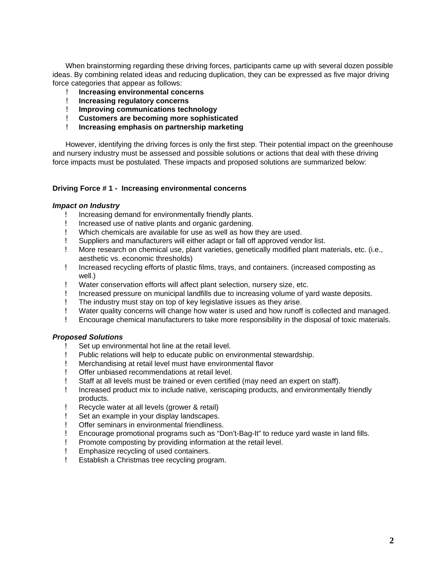When brainstorming regarding these driving forces, participants came up with several dozen possible ideas. By combining related ideas and reducing duplication, they can be expressed as five major driving force categories that appear as follows:

- ! **Increasing environmental concerns**
- ! **Increasing regulatory concerns**
- ! **Improving communications technology**
- ! **Customers are becoming more sophisticated**
- ! **Increasing emphasis on partnership marketing**

However, identifying the driving forces is only the first step. Their potential impact on the greenhouse and nursery industry must be assessed and possible solutions or actions that deal with these driving force impacts must be postulated. These impacts and proposed solutions are summarized below:

### **Driving Force # 1 - Increasing environmental concerns**

### *Impact on Industry*

- ! Increasing demand for environmentally friendly plants.
- ! Increased use of native plants and organic gardening.
- ! Which chemicals are available for use as well as how they are used.
- ! Suppliers and manufacturers will either adapt or fall off approved vendor list.
- ! More research on chemical use, plant varieties, genetically modified plant materials, etc. (i.e., aesthetic vs. economic thresholds)
- ! Increased recycling efforts of plastic films, trays, and containers. (increased composting as well.)
- ! Water conservation efforts will affect plant selection, nursery size, etc.
- ! Increased pressure on municipal landfills due to increasing volume of yard waste deposits.
- ! The industry must stay on top of key legislative issues as they arise.
- ! Water quality concerns will change how water is used and how runoff is collected and managed.
- ! Encourage chemical manufacturers to take more responsibility in the disposal of toxic materials.

### *Proposed Solutions*

- Set up environmental hot line at the retail level.
- ! Public relations will help to educate public on environmental stewardship.
- ! Merchandising at retail level must have environmental flavor
- ! Offer unbiased recommendations at retail level.
- ! Staff at all levels must be trained or even certified (may need an expert on staff).
- ! Increased product mix to include native, xeriscaping products, and environmentally friendly products.
- ! Recycle water at all levels (grower & retail)
- ! Set an example in your display landscapes.
- ! Offer seminars in environmental friendliness.
- ! Encourage promotional programs such as "Don't-Bag-It" to reduce yard waste in land fills.
- ! Promote composting by providing information at the retail level.
- ! Emphasize recycling of used containers.
- ! Establish a Christmas tree recycling program.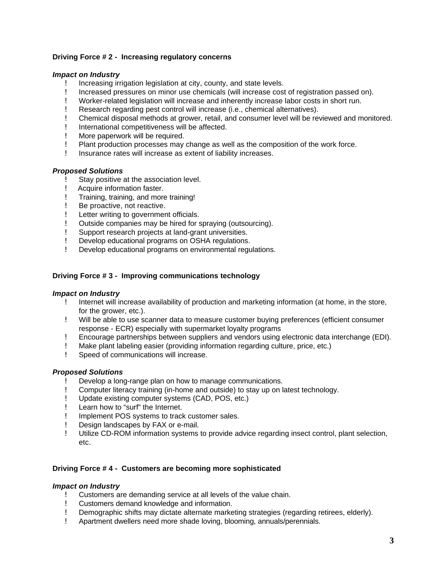# **Driving Force # 2 - Increasing regulatory concerns**

### *Impact on Industry*

- ! Increasing irrigation legislation at city, county, and state levels.
- ! Increased pressures on minor use chemicals (will increase cost of registration passed on).
- ! Worker-related legislation will increase and inherently increase labor costs in short run.
- ! Research regarding pest control will increase (i.e., chemical alternatives).
- ! Chemical disposal methods at grower, retail, and consumer level will be reviewed and monitored.
- ! International competitiveness will be affected.
- ! More paperwork will be required.
- ! Plant production processes may change as well as the composition of the work force.
- ! Insurance rates will increase as extent of liability increases.

# *Proposed Solutions*

- Stay positive at the association level.
- ! Acquire information faster.
- ! Training, training, and more training!
- ! Be proactive, not reactive.
- ! Letter writing to government officials.
- ! Outside companies may be hired for spraying (outsourcing).
- ! Support research projects at land-grant universities.
- ! Develop educational programs on OSHA regulations.
- ! Develop educational programs on environmental regulations.

# **Driving Force # 3 - Improving communications technology**

### *Impact on Industry*

- ! Internet will increase availability of production and marketing information (at home, in the store, for the grower, etc.).
- ! Will be able to use scanner data to measure customer buying preferences (efficient consumer response - ECR) especially with supermarket loyalty programs
- ! Encourage partnerships between suppliers and vendors using electronic data interchange (EDI).
- ! Make plant labeling easier (providing information regarding culture, price, etc.)
- ! Speed of communications will increase.

# *Proposed Solutions*

- Develop a long-range plan on how to manage communications.
- ! Computer literacy training (in-home and outside) to stay up on latest technology.
- ! Update existing computer systems (CAD, POS, etc.)
- ! Learn how to "surf" the Internet.
- ! Implement POS systems to track customer sales.
- ! Design landscapes by FAX or e-mail.
- ! Utilize CD-ROM information systems to provide advice regarding insect control, plant selection, etc.

### **Driving Force # 4 - Customers are becoming more sophisticated**

### *Impact on Industry*

- ! Customers are demanding service at all levels of the value chain.
- ! Customers demand knowledge and information.
- ! Demographic shifts may dictate alternate marketing strategies (regarding retirees, elderly).
- ! Apartment dwellers need more shade loving, blooming, annuals/perennials.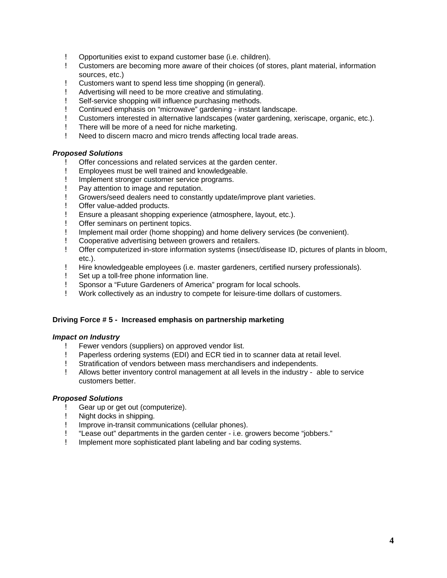- ! Opportunities exist to expand customer base (i.e. children).
- ! Customers are becoming more aware of their choices (of stores, plant material, information sources, etc.)
- ! Customers want to spend less time shopping (in general).
- ! Advertising will need to be more creative and stimulating.
- ! Self-service shopping will influence purchasing methods.
- ! Continued emphasis on "microwave" gardening instant landscape.
- ! Customers interested in alternative landscapes (water gardening, xeriscape, organic, etc.).
- ! There will be more of a need for niche marketing.
- ! Need to discern macro and micro trends affecting local trade areas.

# *Proposed Solutions*

- Offer concessions and related services at the garden center.
- ! Employees must be well trained and knowledgeable.
- ! Implement stronger customer service programs.
- ! Pay attention to image and reputation.
- ! Growers/seed dealers need to constantly update/improve plant varieties.
- ! Offer value-added products.
- ! Ensure a pleasant shopping experience (atmosphere, layout, etc.).
- ! Offer seminars on pertinent topics.
- ! Implement mail order (home shopping) and home delivery services (be convenient).
- ! Cooperative advertising between growers and retailers.
- ! Offer computerized in-store information systems (insect/disease ID, pictures of plants in bloom, etc.).
- ! Hire knowledgeable employees (i.e. master gardeners, certified nursery professionals).
- ! Set up a toll-free phone information line.
- ! Sponsor a "Future Gardeners of America" program for local schools.
- ! Work collectively as an industry to compete for leisure-time dollars of customers.

### **Driving Force # 5 - Increased emphasis on partnership marketing**

### *Impact on Industry*

- ! Fewer vendors (suppliers) on approved vendor list.
- ! Paperless ordering systems (EDI) and ECR tied in to scanner data at retail level.
- ! Stratification of vendors between mass merchandisers and independents.
- ! Allows better inventory control management at all levels in the industry able to service customers better.

### *Proposed Solutions*

- Gear up or get out (computerize).
- ! Night docks in shipping.
- ! Improve in-transit communications (cellular phones).
- ! "Lease out" departments in the garden center i.e. growers become "jobbers."
- ! Implement more sophisticated plant labeling and bar coding systems.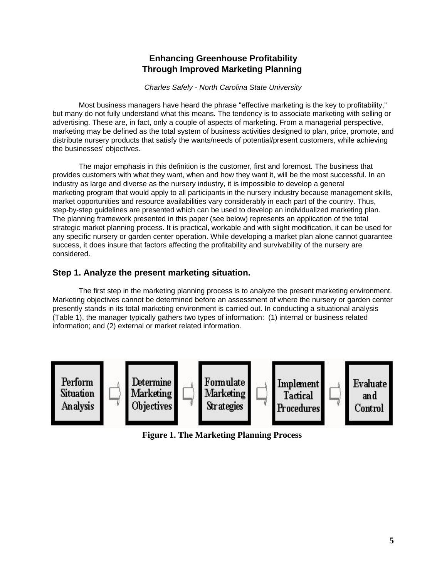# **Enhancing Greenhouse Profitability Through Improved Marketing Planning**

*Charles Safely - North Carolina State University*

<span id="page-8-0"></span>Most business managers have heard the phrase "effective marketing is the key to profitability," but many do not fully understand what this means. The tendency is to associate marketing with selling or advertising. These are, in fact, only a couple of aspects of marketing. From a managerial perspective, marketing may be defined as the total system of business activities designed to plan, price, promote, and distribute nursery products that satisfy the wants/needs of potential/present customers, while achieving the businesses' objectives.

The major emphasis in this definition is the customer, first and foremost. The business that provides customers with what they want, when and how they want it, will be the most successful. In an industry as large and diverse as the nursery industry, it is impossible to develop a general marketing program that would apply to all participants in the nursery industry because management skills, market opportunities and resource availabilities vary considerably in each part of the country. Thus, step-by-step guidelines are presented which can be used to develop an individualized marketing plan. The planning framework presented in this paper (see below) represents an application of the total strategic market planning process. It is practical, workable and with slight modification, it can be used for any specific nursery or garden center operation. While developing a market plan alone cannot guarantee success, it does insure that factors affecting the profitability and survivability of the nursery are considered.

# **Step 1. Analyze the present marketing situation.**

The first step in the marketing planning process is to analyze the present marketing environment. Marketing objectives cannot be determined before an assessment of where the nursery or garden center presently stands in its total marketing environment is carried out. In conducting a situational analysis (Table 1), the manager typically gathers two types of information: (1) internal or business related information; and (2) external or market related information.



**Figure 1. The Marketing Planning Process**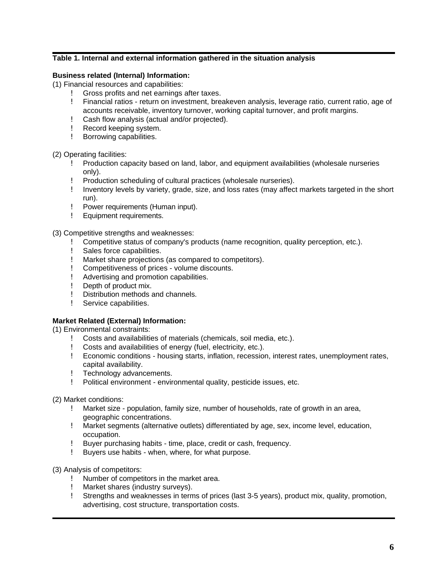# **Table 1. Internal and external information gathered in the situation analysis**

# **Business related (Internal) Information:**

(1) Financial resources and capabilities:

- ! Gross profits and net earnings after taxes.
- ! Financial ratios return on investment, breakeven analysis, leverage ratio, current ratio, age of accounts receivable, inventory turnover, working capital turnover, and profit margins.
- ! Cash flow analysis (actual and/or projected).
- ! Record keeping system.
- ! Borrowing capabilities.

(2) Operating facilities:

- ! Production capacity based on land, labor, and equipment availabilities (wholesale nurseries only).
- ! Production scheduling of cultural practices (wholesale nurseries).
- ! Inventory levels by variety, grade, size, and loss rates (may affect markets targeted in the short run).
- ! Power requirements (Human input).
- ! Equipment requirements.

(3) Competitive strengths and weaknesses:

- ! Competitive status of company's products (name recognition, quality perception, etc.).
- ! Sales force capabilities.
- ! Market share projections (as compared to competitors).
- ! Competitiveness of prices volume discounts.
- ! Advertising and promotion capabilities.
- ! Depth of product mix.
- ! Distribution methods and channels.
- ! Service capabilities.

# **Market Related (External) Information:**

(1) Environmental constraints:

- ! Costs and availabilities of materials (chemicals, soil media, etc.).
- ! Costs and availabilities of energy (fuel, electricity, etc.).
- ! Economic conditions housing starts, inflation, recession, interest rates, unemployment rates, capital availability.
- ! Technology advancements.
- ! Political environment environmental quality, pesticide issues, etc.

(2) Market conditions:

- ! Market size population, family size, number of households, rate of growth in an area, geographic concentrations.
- ! Market segments (alternative outlets) differentiated by age, sex, income level, education, occupation.
- ! Buyer purchasing habits time, place, credit or cash, frequency.
- ! Buyers use habits when, where, for what purpose.

(3) Analysis of competitors:

- ! Number of competitors in the market area.
- ! Market shares (industry surveys).
- ! Strengths and weaknesses in terms of prices (last 3-5 years), product mix, quality, promotion, advertising, cost structure, transportation costs.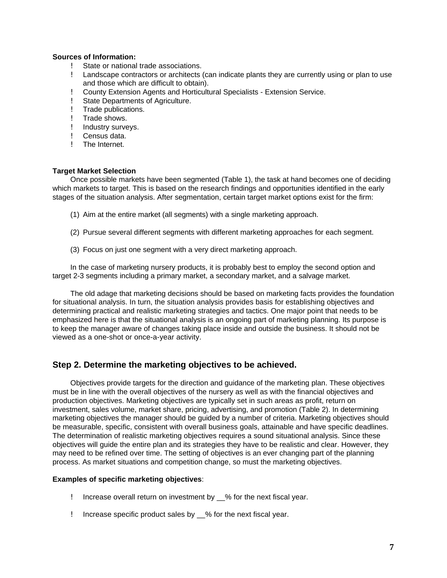# **Sources of Information:**

- State or national trade associations.
- ! Landscape contractors or architects (can indicate plants they are currently using or plan to use and those which are difficult to obtain).
- ! County Extension Agents and Horticultural Specialists Extension Service.
- ! State Departments of Agriculture.
- ! Trade publications.
- ! Trade shows.
- ! Industry surveys.<br>! Census data.
- Census data.
- ! The Internet.

# **Target Market Selection**

Once possible markets have been segmented (Table 1), the task at hand becomes one of deciding which markets to target. This is based on the research findings and opportunities identified in the early stages of the situation analysis. After segmentation, certain target market options exist for the firm:

- (1) Aim at the entire market (all segments) with a single marketing approach.
- (2) Pursue several different segments with different marketing approaches for each segment.
- (3) Focus on just one segment with a very direct marketing approach.

In the case of marketing nursery products, it is probably best to employ the second option and target 2-3 segments including a primary market, a secondary market, and a salvage market.

The old adage that marketing decisions should be based on marketing facts provides the foundation for situational analysis. In turn, the situation analysis provides basis for establishing objectives and determining practical and realistic marketing strategies and tactics. One major point that needs to be emphasized here is that the situational analysis is an ongoing part of marketing planning. Its purpose is to keep the manager aware of changes taking place inside and outside the business. It should not be viewed as a one-shot or once-a-year activity.

# **Step 2. Determine the marketing objectives to be achieved.**

Objectives provide targets for the direction and guidance of the marketing plan. These objectives must be in line with the overall objectives of the nursery as well as with the financial objectives and production objectives. Marketing objectives are typically set in such areas as profit, return on investment, sales volume, market share, pricing, advertising, and promotion (Table 2). In determining marketing objectives the manager should be guided by a number of criteria. Marketing objectives should be measurable, specific, consistent with overall business goals, attainable and have specific deadlines. The determination of realistic marketing objectives requires a sound situational analysis. Since these objectives will guide the entire plan and its strategies they have to be realistic and clear. However, they may need to be refined over time. The setting of objectives is an ever changing part of the planning process. As market situations and competition change, so must the marketing objectives.

# **Examples of specific marketing objectives**:

- ! Increase overall return on investment by \_\_% for the next fiscal year.
- ! Increase specific product sales by \_\_% for the next fiscal year.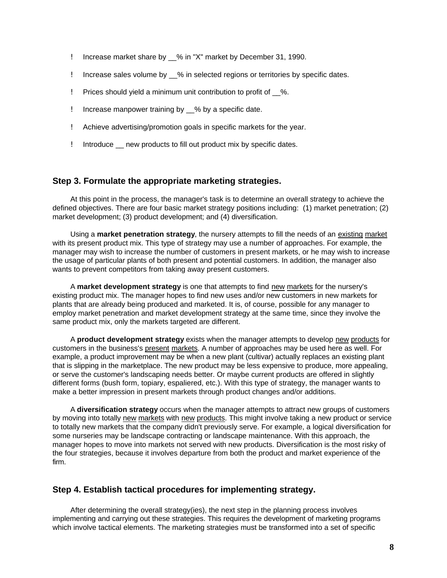- ! Increase market share by % in "X" market by December 31, 1990.
- ! Increase sales volume by \_\_% in selected regions or territories by specific dates.
- ! Prices should yield a minimum unit contribution to profit of \_\_%.
- ! Increase manpower training by \_\_% by a specific date.
- ! Achieve advertising/promotion goals in specific markets for the year.
- ! Introduce \_\_ new products to fill out product mix by specific dates.

# **Step 3. Formulate the appropriate marketing strategies.**

At this point in the process, the manager's task is to determine an overall strategy to achieve the defined objectives. There are four basic market strategy positions including: (1) market penetration; (2) market development; (3) product development; and (4) diversification.

Using a **market penetration strategy**, the nursery attempts to fill the needs of an existing market with its present product mix. This type of strategy may use a number of approaches. For example, the manager may wish to increase the number of customers in present markets, or he may wish to increase the usage of particular plants of both present and potential customers. In addition, the manager also wants to prevent competitors from taking away present customers.

A **market development strategy** is one that attempts to find new markets for the nursery's existing product mix. The manager hopes to find new uses and/or new customers in new markets for plants that are already being produced and marketed. It is, of course, possible for any manager to employ market penetration and market development strategy at the same time, since they involve the same product mix, only the markets targeted are different.

A **product development strategy** exists when the manager attempts to develop new products for customers in the business's present markets. A number of approaches may be used here as well. For example, a product improvement may be when a new plant (cultivar) actually replaces an existing plant that is slipping in the marketplace. The new product may be less expensive to produce, more appealing, or serve the customer's landscaping needs better. Or maybe current products are offered in slightly different forms (bush form, topiary, espaliered, etc.). With this type of strategy, the manager wants to make a better impression in present markets through product changes and/or additions.

A **diversification strategy** occurs when the manager attempts to attract new groups of customers by moving into totally new markets with new products. This might involve taking a new product or service to totally new markets that the company didn't previously serve. For example, a logical diversification for some nurseries may be landscape contracting or landscape maintenance. With this approach, the manager hopes to move into markets not served with new products. Diversification is the most risky of the four strategies, because it involves departure from both the product and market experience of the firm.

# **Step 4. Establish tactical procedures for implementing strategy.**

After determining the overall strategy(ies), the next step in the planning process involves implementing and carrying out these strategies. This requires the development of marketing programs which involve tactical elements. The marketing strategies must be transformed into a set of specific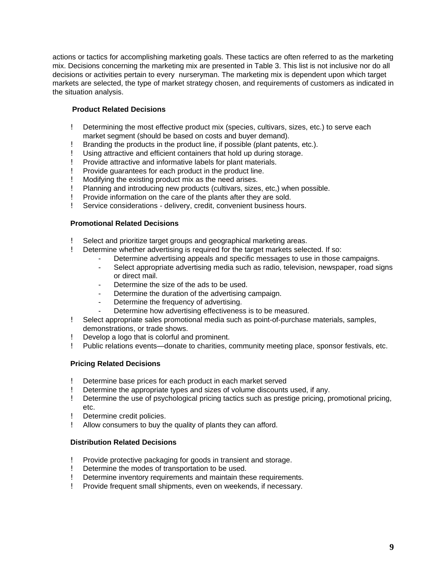actions or tactics for accomplishing marketing goals. These tactics are often referred to as the marketing mix. Decisions concerning the marketing mix are presented in Table 3. This list is not inclusive nor do all decisions or activities pertain to every nurseryman. The marketing mix is dependent upon which target markets are selected, the type of market strategy chosen, and requirements of customers as indicated in the situation analysis.

# **Product Related Decisions**

- ! Determining the most effective product mix (species, cultivars, sizes, etc.) to serve each market segment (should be based on costs and buyer demand).
- ! Branding the products in the product line, if possible (plant patents, etc.).
- ! Using attractive and efficient containers that hold up during storage.
- ! Provide attractive and informative labels for plant materials.
- ! Provide guarantees for each product in the product line.
- ! Modifying the existing product mix as the need arises.
- ! Planning and introducing new products (cultivars, sizes, etc,) when possible.
- ! Provide information on the care of the plants after they are sold.
- ! Service considerations delivery, credit, convenient business hours.

# **Promotional Related Decisions**

- Select and prioritize target groups and geographical marketing areas.
- ! Determine whether advertising is required for the target markets selected. If so:
	- Determine advertising appeals and specific messages to use in those campaigns.
	- Select appropriate advertising media such as radio, television, newspaper, road signs or direct mail.
	- Determine the size of the ads to be used.
	- Determine the duration of the advertising campaign.
	- Determine the frequency of advertising.
	- Determine how advertising effectiveness is to be measured.
- ! Select appropriate sales promotional media such as point-of-purchase materials, samples, demonstrations, or trade shows.
- Develop a logo that is colorful and prominent.
- ! Public relations events—donate to charities, community meeting place, sponsor festivals, etc.

# **Pricing Related Decisions**

- Determine base prices for each product in each market served
- ! Determine the appropriate types and sizes of volume discounts used, if any.
- ! Determine the use of psychological pricing tactics such as prestige pricing, promotional pricing, etc.
- ! Determine credit policies.
- ! Allow consumers to buy the quality of plants they can afford.

# **Distribution Related Decisions**

- ! Provide protective packaging for goods in transient and storage.
- ! Determine the modes of transportation to be used.
- ! Determine inventory requirements and maintain these requirements.
- ! Provide frequent small shipments, even on weekends, if necessary.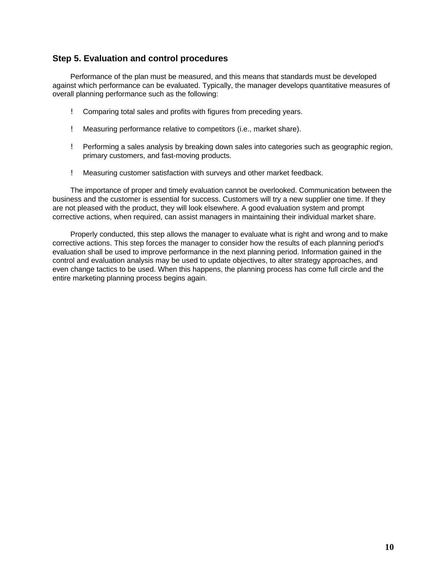# **Step 5. Evaluation and control procedures**

Performance of the plan must be measured, and this means that standards must be developed against which performance can be evaluated. Typically, the manager develops quantitative measures of overall planning performance such as the following:

- ! Comparing total sales and profits with figures from preceding years.
- ! Measuring performance relative to competitors (i.e., market share).
- ! Performing a sales analysis by breaking down sales into categories such as geographic region, primary customers, and fast-moving products.
- ! Measuring customer satisfaction with surveys and other market feedback.

The importance of proper and timely evaluation cannot be overlooked. Communication between the business and the customer is essential for success. Customers will try a new supplier one time. If they are not pleased with the product, they will look elsewhere. A good evaluation system and prompt corrective actions, when required, can assist managers in maintaining their individual market share.

Properly conducted, this step allows the manager to evaluate what is right and wrong and to make corrective actions. This step forces the manager to consider how the results of each planning period's evaluation shall be used to improve performance in the next planning period. Information gained in the control and evaluation analysis may be used to update objectives, to alter strategy approaches, and even change tactics to be used. When this happens, the planning process has come full circle and the entire marketing planning process begins again.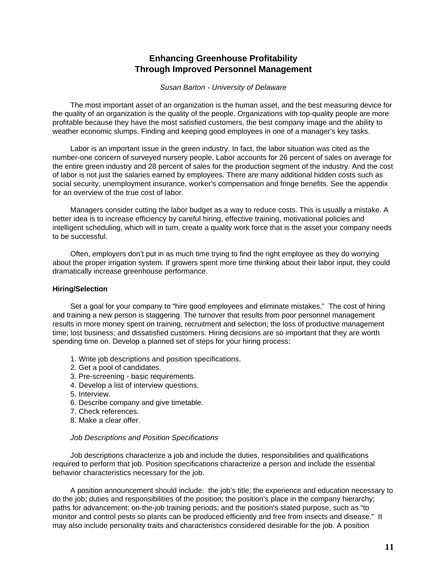# **Enhancing Greenhouse Profitability Through Improved Personnel Management**

### *Susan Barton - University of Delaware*

<span id="page-14-0"></span>The most important asset of an organization is the human asset, and the best measuring device for the quality of an organization is the quality of the people. Organizations with top-quality people are more profitable because they have the most satisfied customers, the best company image and the ability to weather economic slumps. Finding and keeping good employees in one of a manager's key tasks.

Labor is an important issue in the green industry. In fact, the labor situation was cited as the number-one concern of surveyed nursery people. Labor accounts for 26 percent of sales on average for the entire green industry and 28 percent of sales for the production segment of the industry. And the cost of labor is not just the salaries earned by employees. There are many additional hidden costs such as social security, unemployment insurance, worker's compensation and fringe benefits. See the appendix for an overview of the true cost of labor.

Managers consider cutting the labor budget as a way to reduce costs. This is usually a mistake. A better idea is to increase efficiency by careful hiring, effective training, motivational policies and intelligent scheduling, which will in turn, create a quality work force that is the asset your company needs to be successful.

Often, employers don't put in as much time trying to find the right employee as they do worrying about the proper irrigation system. If growers spent more time thinking about their labor input, they could dramatically increase greenhouse performance.

# **Hiring/Selection**

Set a goal for your company to "hire good employees and eliminate mistakes." The cost of hiring and training a new person is staggering. The turnover that results from poor personnel management results in more money spent on training, recruitment and selection; the loss of productive management time; lost business; and dissatisfied customers. Hiring decisions are so important that they are worth spending time on. Develop a planned set of steps for your hiring process:

- 1. Write job descriptions and position specifications.
- 2. Get a pool of candidates.
- 3. Pre-screening basic requirements.
- 4. Develop a list of interview questions.
- 5. Interview.
- 6. Describe company and give timetable.
- 7. Check references.
- 8. Make a clear offer.

### *Job Descriptions and Position Specifications*

Job descriptions characterize a job and include the duties, responsibilities and qualifications required to perform that job. Position specifications characterize a person and include the essential behavior characteristics necessary for the job.

A position announcement should include: the job's title; the experience and education necessary to do the job; duties and responsibilities of the position; the position's place in the company hierarchy; paths for advancement; on-the-job training periods; and the position's stated purpose, such as "to monitor and control pests so plants can be produced efficiently and free from insects and disease." It may also include personality traits and characteristics considered desirable for the job. A position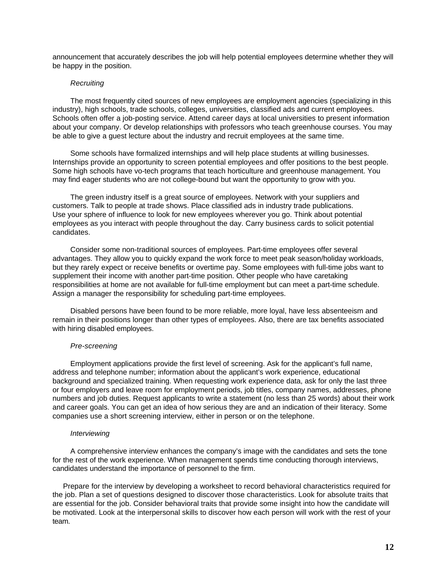announcement that accurately describes the job will help potential employees determine whether they will be happy in the position.

### *Recruiting*

The most frequently cited sources of new employees are employment agencies (specializing in this industry), high schools, trade schools, colleges, universities, classified ads and current employees. Schools often offer a job-posting service. Attend career days at local universities to present information about your company. Or develop relationships with professors who teach greenhouse courses. You may be able to give a guest lecture about the industry and recruit employees at the same time.

Some schools have formalized internships and will help place students at willing businesses. Internships provide an opportunity to screen potential employees and offer positions to the best people. Some high schools have vo-tech programs that teach horticulture and greenhouse management. You may find eager students who are not college-bound but want the opportunity to grow with you.

The green industry itself is a great source of employees. Network with your suppliers and customers. Talk to people at trade shows. Place classified ads in industry trade publications. Use your sphere of influence to look for new employees wherever you go. Think about potential employees as you interact with people throughout the day. Carry business cards to solicit potential candidates.

Consider some non-traditional sources of employees. Part-time employees offer several advantages. They allow you to quickly expand the work force to meet peak season/holiday workloads, but they rarely expect or receive benefits or overtime pay. Some employees with full-time jobs want to supplement their income with another part-time position. Other people who have caretaking responsibilities at home are not available for full-time employment but can meet a part-time schedule. Assign a manager the responsibility for scheduling part-time employees.

Disabled persons have been found to be more reliable, more loyal, have less absenteeism and remain in their positions longer than other types of employees. Also, there are tax benefits associated with hiring disabled employees.

#### *Pre-screening*

Employment applications provide the first level of screening. Ask for the applicant's full name, address and telephone number; information about the applicant's work experience, educational background and specialized training. When requesting work experience data, ask for only the last three or four employers and leave room for employment periods, job titles, company names, addresses, phone numbers and job duties. Request applicants to write a statement (no less than 25 words) about their work and career goals. You can get an idea of how serious they are and an indication of their literacy. Some companies use a short screening interview, either in person or on the telephone.

### *Interviewing*

A comprehensive interview enhances the company's image with the candidates and sets the tone for the rest of the work experience. When management spends time conducting thorough interviews, candidates understand the importance of personnel to the firm.

 Prepare for the interview by developing a worksheet to record behavioral characteristics required for the job. Plan a set of questions designed to discover those characteristics. Look for absolute traits that are essential for the job. Consider behavioral traits that provide some insight into how the candidate will be motivated. Look at the interpersonal skills to discover how each person will work with the rest of your team.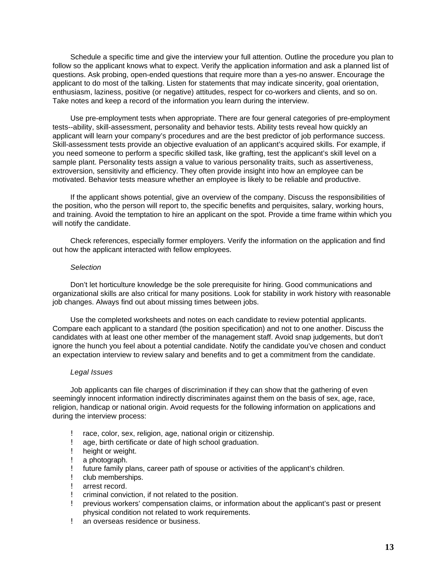Schedule a specific time and give the interview your full attention. Outline the procedure you plan to follow so the applicant knows what to expect. Verify the application information and ask a planned list of questions. Ask probing, open-ended questions that require more than a yes-no answer. Encourage the applicant to do most of the talking. Listen for statements that may indicate sincerity, goal orientation, enthusiasm, laziness, positive (or negative) attitudes, respect for co-workers and clients, and so on. Take notes and keep a record of the information you learn during the interview.

Use pre-employment tests when appropriate. There are four general categories of pre-employment tests--ability, skill-assessment, personality and behavior tests. Ability tests reveal how quickly an applicant will learn your company's procedures and are the best predictor of job performance success. Skill-assessment tests provide an objective evaluation of an applicant's acquired skills. For example, if you need someone to perform a specific skilled task, like grafting, test the applicant's skill level on a sample plant. Personality tests assign a value to various personality traits, such as assertiveness, extroversion, sensitivity and efficiency. They often provide insight into how an employee can be motivated. Behavior tests measure whether an employee is likely to be reliable and productive.

If the applicant shows potential, give an overview of the company. Discuss the responsibilities of the position, who the person will report to, the specific benefits and perquisites, salary, working hours, and training. Avoid the temptation to hire an applicant on the spot. Provide a time frame within which you will notify the candidate.

Check references, especially former employers. Verify the information on the application and find out how the applicant interacted with fellow employees.

#### *Selection*

Don't let horticulture knowledge be the sole prerequisite for hiring. Good communications and organizational skills are also critical for many positions. Look for stability in work history with reasonable job changes. Always find out about missing times between jobs.

Use the completed worksheets and notes on each candidate to review potential applicants. Compare each applicant to a standard (the position specification) and not to one another. Discuss the candidates with at least one other member of the management staff. Avoid snap judgements, but don't ignore the hunch you feel about a potential candidate. Notify the candidate you've chosen and conduct an expectation interview to review salary and benefits and to get a commitment from the candidate.

### *Legal Issues*

Job applicants can file charges of discrimination if they can show that the gathering of even seemingly innocent information indirectly discriminates against them on the basis of sex, age, race, religion, handicap or national origin. Avoid requests for the following information on applications and during the interview process:

- race, color, sex, religion, age, national origin or citizenship.
- ! age, birth certificate or date of high school graduation.
- ! height or weight.
- ! a photograph.
- ! future family plans, career path of spouse or activities of the applicant's children.
- ! club memberships.
- ! arrest record.
- ! criminal conviction, if not related to the position.
- ! previous workers' compensation claims, or information about the applicant's past or present physical condition not related to work requirements.
- ! an overseas residence or business.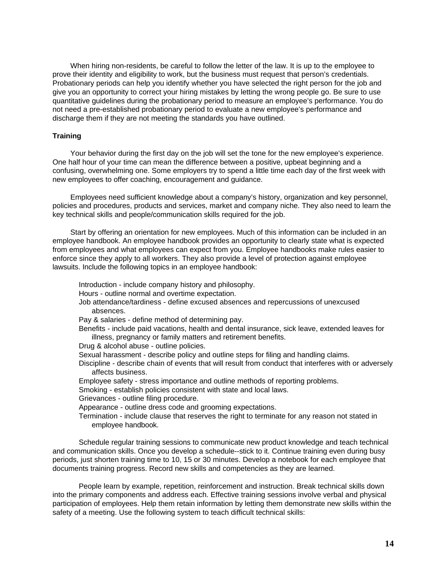When hiring non-residents, be careful to follow the letter of the law. It is up to the employee to prove their identity and eligibility to work, but the business must request that person's credentials. Probationary periods can help you identify whether you have selected the right person for the job and give you an opportunity to correct your hiring mistakes by letting the wrong people go. Be sure to use quantitative guidelines during the probationary period to measure an employee's performance. You do not need a pre-established probationary period to evaluate a new employee's performance and discharge them if they are not meeting the standards you have outlined.

### **Training**

Your behavior during the first day on the job will set the tone for the new employee's experience. One half hour of your time can mean the difference between a positive, upbeat beginning and a confusing, overwhelming one. Some employers try to spend a little time each day of the first week with new employees to offer coaching, encouragement and guidance.

Employees need sufficient knowledge about a company's history, organization and key personnel, policies and procedures, products and services, market and company niche. They also need to learn the key technical skills and people/communication skills required for the job.

Start by offering an orientation for new employees. Much of this information can be included in an employee handbook. An employee handbook provides an opportunity to clearly state what is expected from employees and what employees can expect from you. Employee handbooks make rules easier to enforce since they apply to all workers. They also provide a level of protection against employee lawsuits. Include the following topics in an employee handbook:

Introduction - include company history and philosophy.

Hours - outline normal and overtime expectation.

Job attendance/tardiness - define excused absences and repercussions of unexcused absences.

Pay & salaries - define method of determining pay.

Benefits - include paid vacations, health and dental insurance, sick leave, extended leaves for illness, pregnancy or family matters and retirement benefits.

Drug & alcohol abuse - outline policies.

Sexual harassment - describe policy and outline steps for filing and handling claims.

Discipline - describe chain of events that will result from conduct that interferes with or adversely affects business.

Employee safety - stress importance and outline methods of reporting problems.

Smoking - establish policies consistent with state and local laws.

Grievances - outline filing procedure.

Appearance - outline dress code and grooming expectations.

Termination - include clause that reserves the right to terminate for any reason not stated in employee handbook.

Schedule regular training sessions to communicate new product knowledge and teach technical and communication skills. Once you develop a schedule--stick to it. Continue training even during busy periods, just shorten training time to 10, 15 or 30 minutes. Develop a notebook for each employee that documents training progress. Record new skills and competencies as they are learned.

People learn by example, repetition, reinforcement and instruction. Break technical skills down into the primary components and address each. Effective training sessions involve verbal and physical participation of employees. Help them retain information by letting them demonstrate new skills within the safety of a meeting. Use the following system to teach difficult technical skills: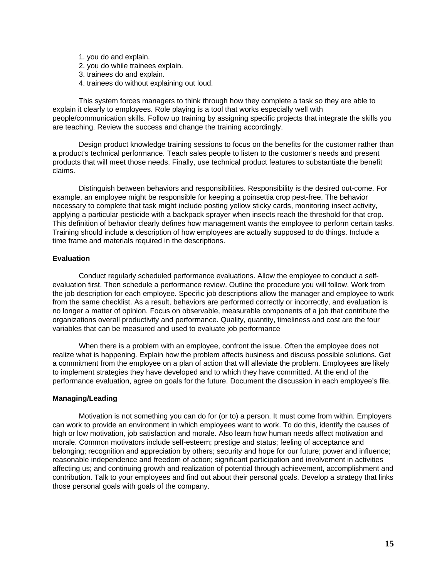- 1. you do and explain.
- 2. you do while trainees explain.
- 3. trainees do and explain.
- 4. trainees do without explaining out loud.

This system forces managers to think through how they complete a task so they are able to explain it clearly to employees. Role playing is a tool that works especially well with people/communication skills. Follow up training by assigning specific projects that integrate the skills you are teaching. Review the success and change the training accordingly.

Design product knowledge training sessions to focus on the benefits for the customer rather than a product's technical performance. Teach sales people to listen to the customer's needs and present products that will meet those needs. Finally, use technical product features to substantiate the benefit claims.

Distinguish between behaviors and responsibilities. Responsibility is the desired out-come. For example, an employee might be responsible for keeping a poinsettia crop pest-free. The behavior necessary to complete that task might include posting yellow sticky cards, monitoring insect activity, applying a particular pesticide with a backpack sprayer when insects reach the threshold for that crop. This definition of behavior clearly defines how management wants the employee to perform certain tasks. Training should include a description of how employees are actually supposed to do things. Include a time frame and materials required in the descriptions.

# **Evaluation**

Conduct regularly scheduled performance evaluations. Allow the employee to conduct a selfevaluation first. Then schedule a performance review. Outline the procedure you will follow. Work from the job description for each employee. Specific job descriptions allow the manager and employee to work from the same checklist. As a result, behaviors are performed correctly or incorrectly, and evaluation is no longer a matter of opinion. Focus on observable, measurable components of a job that contribute the organizations overall productivity and performance. Quality, quantity, timeliness and cost are the four variables that can be measured and used to evaluate job performance

When there is a problem with an employee, confront the issue. Often the employee does not realize what is happening. Explain how the problem affects business and discuss possible solutions. Get a commitment from the employee on a plan of action that will alleviate the problem. Employees are likely to implement strategies they have developed and to which they have committed. At the end of the performance evaluation, agree on goals for the future. Document the discussion in each employee's file.

### **Managing/Leading**

Motivation is not something you can do for (or to) a person. It must come from within. Employers can work to provide an environment in which employees want to work. To do this, identify the causes of high or low motivation, job satisfaction and morale. Also learn how human needs affect motivation and morale. Common motivators include self-esteem; prestige and status; feeling of acceptance and belonging; recognition and appreciation by others; security and hope for our future; power and influence; reasonable independence and freedom of action; significant participation and involvement in activities affecting us; and continuing growth and realization of potential through achievement, accomplishment and contribution. Talk to your employees and find out about their personal goals. Develop a strategy that links those personal goals with goals of the company.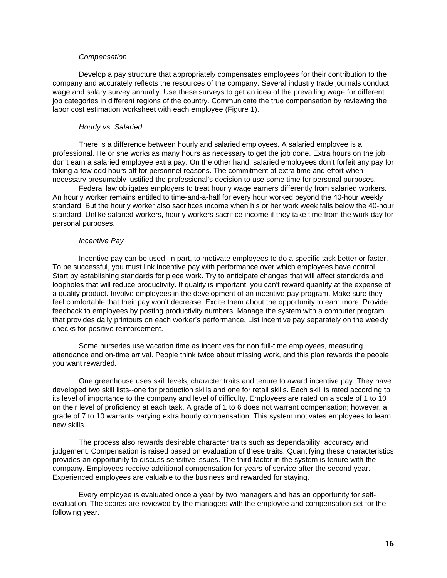### *Compensation*

Develop a pay structure that appropriately compensates employees for their contribution to the company and accurately reflects the resources of the company. Several industry trade journals conduct wage and salary survey annually. Use these surveys to get an idea of the prevailing wage for different job categories in different regions of the country. Communicate the true compensation by reviewing the labor cost estimation worksheet with each employee (Figure 1).

#### *Hourly vs. Salaried*

There is a difference between hourly and salaried employees. A salaried employee is a professional. He or she works as many hours as necessary to get the job done. Extra hours on the job don't earn a salaried employee extra pay. On the other hand, salaried employees don't forfeit any pay for taking a few odd hours off for personnel reasons. The commitment ot extra time and effort when necessary presumably justified the professional's decision to use some time for personal purposes.

Federal law obligates employers to treat hourly wage earners differently from salaried workers. An hourly worker remains entitled to time-and-a-half for every hour worked beyond the 40-hour weekly standard. But the hourly worker also sacrifices income when his or her work week falls below the 40-hour standard. Unlike salaried workers, hourly workers sacrifice income if they take time from the work day for personal purposes.

### *Incentive Pay*

Incentive pay can be used, in part, to motivate employees to do a specific task better or faster. To be successful, you must link incentive pay with performance over which employees have control. Start by establishing standards for piece work. Try to anticipate changes that will affect standards and loopholes that will reduce productivity. If quality is important, you can't reward quantity at the expense of a quality product. Involve employees in the development of an incentive-pay program. Make sure they feel comfortable that their pay won't decrease. Excite them about the opportunity to earn more. Provide feedback to employees by posting productivity numbers. Manage the system with a computer program that provides daily printouts on each worker's performance. List incentive pay separately on the weekly checks for positive reinforcement.

Some nurseries use vacation time as incentives for non full-time employees, measuring attendance and on-time arrival. People think twice about missing work, and this plan rewards the people you want rewarded.

One greenhouse uses skill levels, character traits and tenure to award incentive pay. They have developed two skill lists--one for production skills and one for retail skills. Each skill is rated according to its level of importance to the company and level of difficulty. Employees are rated on a scale of 1 to 10 on their level of proficiency at each task. A grade of 1 to 6 does not warrant compensation; however, a grade of 7 to 10 warrants varying extra hourly compensation. This system motivates employees to learn new skills.

The process also rewards desirable character traits such as dependability, accuracy and judgement. Compensation is raised based on evaluation of these traits. Quantifying these characteristics provides an opportunity to discuss sensitive issues. The third factor in the system is tenure with the company. Employees receive additional compensation for years of service after the second year. Experienced employees are valuable to the business and rewarded for staying.

Every employee is evaluated once a year by two managers and has an opportunity for selfevaluation. The scores are reviewed by the managers with the employee and compensation set for the following year.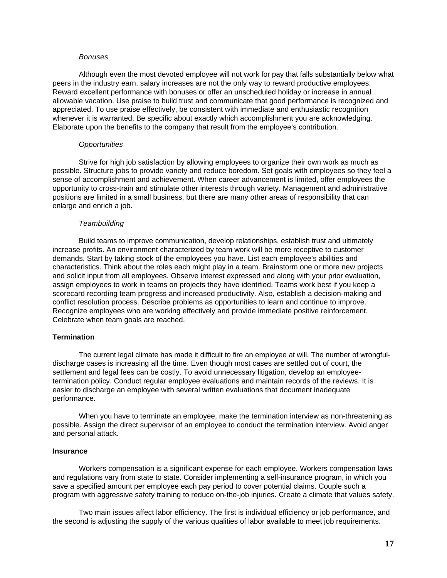#### *Bonuses*

Although even the most devoted employee will not work for pay that falls substantially below what peers in the industry earn, salary increases are not the only way to reward productive employees. Reward excellent performance with bonuses or offer an unscheduled holiday or increase in annual allowable vacation. Use praise to build trust and communicate that good performance is recognized and appreciated. To use praise effectively, be consistent with immediate and enthusiastic recognition whenever it is warranted. Be specific about exactly which accomplishment you are acknowledging. Elaborate upon the benefits to the company that result from the employee's contribution.

### *Opportunities*

Strive for high job satisfaction by allowing employees to organize their own work as much as possible. Structure jobs to provide variety and reduce boredom. Set goals with employees so they feel a sense of accomplishment and achievement. When career advancement is limited, offer employees the opportunity to cross-train and stimulate other interests through variety. Management and administrative positions are limited in a small business, but there are many other areas of responsibility that can enlarge and enrich a job.

#### *Teambuilding*

Build teams to improve communication, develop relationships, establish trust and ultimately increase profits. An environment characterized by team work will be more receptive to customer demands. Start by taking stock of the employees you have. List each employee's abilities and characteristics. Think about the roles each might play in a team. Brainstorm one or more new projects and solicit input from all employees. Observe interest expressed and along with your prior evaluation, assign employees to work in teams on projects they have identified. Teams work best if you keep a scorecard recording team progress and increased productivity. Also, establish a decision-making and conflict resolution process. Describe problems as opportunities to learn and continue to improve. Recognize employees who are working effectively and provide immediate positive reinforcement. Celebrate when team goals are reached.

### **Termination**

The current legal climate has made it difficult to fire an employee at will. The number of wrongfuldischarge cases is increasing all the time. Even though most cases are settled out of court, the settlement and legal fees can be costly. To avoid unnecessary litigation, develop an employeetermination policy. Conduct regular employee evaluations and maintain records of the reviews. It is easier to discharge an employee with several written evaluations that document inadequate performance.

When you have to terminate an employee, make the termination interview as non-threatening as possible. Assign the direct supervisor of an employee to conduct the termination interview. Avoid anger and personal attack.

### **Insurance**

Workers compensation is a significant expense for each employee. Workers compensation laws and regulations vary from state to state. Consider implementing a self-insurance program, in which you save a specified amount per employee each pay period to cover potential claims. Couple such a program with aggressive safety training to reduce on-the-job injuries. Create a climate that values safety.

Two main issues affect labor efficiency. The first is individual efficiency or job performance, and the second is adjusting the supply of the various qualities of labor available to meet job requirements.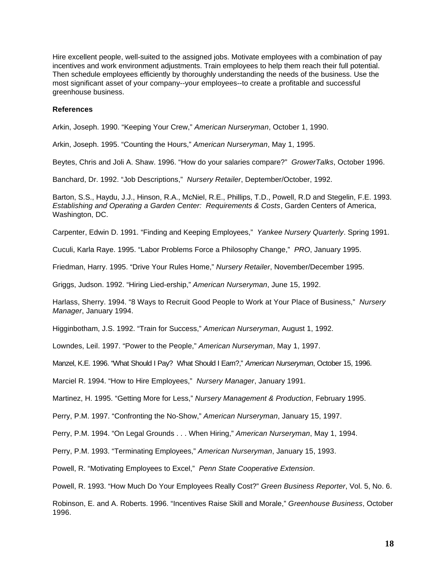Hire excellent people, well-suited to the assigned jobs. Motivate employees with a combination of pay incentives and work environment adjustments. Train employees to help them reach their full potential. Then schedule employees efficiently by thoroughly understanding the needs of the business. Use the most significant asset of your company--your employees--to create a profitable and successful greenhouse business.

### **References**

Arkin, Joseph. 1990. "Keeping Your Crew," *American Nurseryman*, October 1, 1990.

Arkin, Joseph. 1995. "Counting the Hours," *American Nurseryman*, May 1, 1995.

Beytes, Chris and Joli A. Shaw. 1996. "How do your salaries compare?" *GrowerTalks*, October 1996.

Banchard, Dr. 1992. "Job Descriptions," *Nursery Retailer*, Deptember/October, 1992.

Barton, S.S., Haydu, J.J., Hinson, R.A., McNiel, R.E., Phillips, T.D., Powell, R.D and Stegelin, F.E. 1993. *Establishing and Operating a Garden Center: Requirements & Costs*, Garden Centers of America, Washington, DC.

Carpenter, Edwin D. 1991. "Finding and Keeping Employees," *Yankee Nursery Quarterly*. Spring 1991.

Cuculi, Karla Raye. 1995. "Labor Problems Force a Philosophy Change," *PRO*, January 1995.

Friedman, Harry. 1995. "Drive Your Rules Home," *Nursery Retailer*, November/December 1995.

Griggs, Judson. 1992. "Hiring Lied-ership," *American Nurseryman*, June 15, 1992.

Harlass, Sherry. 1994. "8 Ways to Recruit Good People to Work at Your Place of Business," *Nursery Manager*, January 1994.

Higginbotham, J.S. 1992. "Train for Success," *American Nurseryman*, August 1, 1992.

Lowndes, Leil. 1997. "Power to the People," *American Nurseryman*, May 1, 1997.

Manzel, K.E. 1996. "What Should I Pay? What Should I Earn?," *American Nurseryman*, October 15, 1996.

Marciel R. 1994. "How to Hire Employees," *Nursery Manager*, January 1991.

Martinez, H. 1995. "Getting More for Less," *Nursery Management & Production*, February 1995.

Perry, P.M. 1997. "Confronting the No-Show," *American Nurseryman*, January 15, 1997.

Perry, P.M. 1994. "On Legal Grounds . . . When Hiring," *American Nurseryman*, May 1, 1994.

Perry, P.M. 1993. "Terminating Employees," *American Nurseryman*, January 15, 1993.

Powell, R. "Motivating Employees to Excel," *Penn State Cooperative Extension*.

Powell, R. 1993. "How Much Do Your Employees Really Cost?" *Green Business Reporter*, Vol. 5, No. 6.

Robinson, E. and A. Roberts. 1996. "Incentives Raise Skill and Morale," *Greenhouse Business*, October 1996.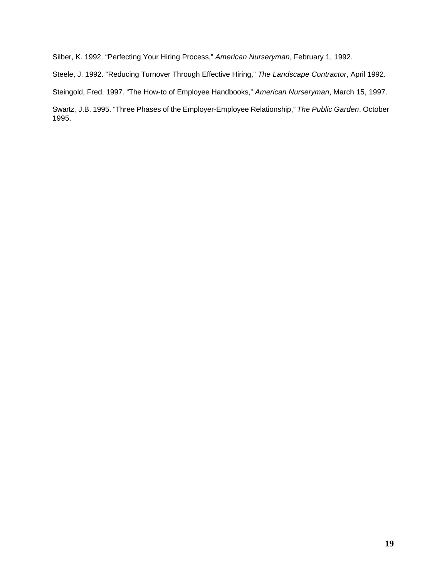Silber, K. 1992. "Perfecting Your Hiring Process," *American Nurseryman*, February 1, 1992.

Steele, J. 1992. "Reducing Turnover Through Effective Hiring," *The Landscape Contractor*, April 1992.

Steingold, Fred. 1997. "The How-to of Employee Handbooks," *American Nurseryman*, March 15, 1997.

Swartz, J.B. 1995. "Three Phases of the Employer-Employee Relationship," *The Public Garden*, October 1995.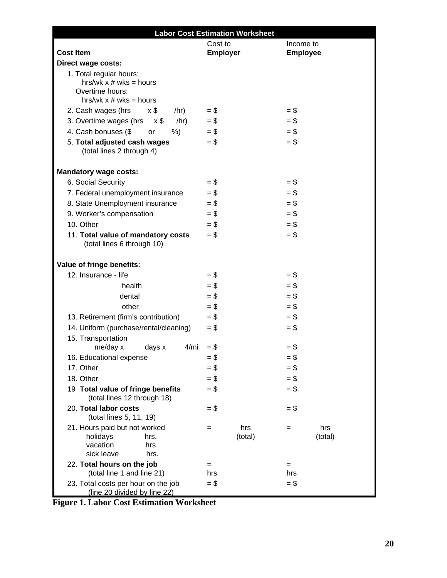|                                                                                                      | <b>Labor Cost Estimation Worksheet</b> |                       |
|------------------------------------------------------------------------------------------------------|----------------------------------------|-----------------------|
|                                                                                                      | Cost to                                | Income to             |
| <b>Cost Item</b>                                                                                     | <b>Employer</b>                        | <b>Employee</b>       |
| Direct wage costs:                                                                                   |                                        |                       |
| 1. Total regular hours:<br>hrs/wk $x \#$ wks = hours<br>Overtime hours:<br>hrs/wk $x \#$ wks = hours |                                        |                       |
| 2. Cash wages (hrs<br>x \$<br>/hr)                                                                   | $=$ \$                                 | $=$ \$                |
| 3. Overtime wages (hrs<br>/hr)<br>$x$ \$                                                             | $=$ \$                                 | $=$ \$                |
| 4. Cash bonuses (\$<br>$%$ )<br>or                                                                   | $=$ \$                                 | $=$ \$                |
| 5. Total adjusted cash wages<br>(total lines 2 through 4)                                            | $=$ \$                                 | $=$ \$                |
| <b>Mandatory wage costs:</b>                                                                         |                                        |                       |
| 6. Social Security                                                                                   | $=$ \$                                 | $=$ \$                |
| 7. Federal unemployment insurance                                                                    | $=$ \$                                 | $=$ \$                |
| 8. State Unemployment insurance                                                                      | $=$ \$                                 | $=$ \$                |
| 9. Worker's compensation                                                                             | $=$ \$                                 | $=$ \$                |
| 10. Other                                                                                            | $=$ \$                                 | $=$ \$                |
| 11. Total value of mandatory costs<br>(total lines 6 through 10)                                     | $=$ \$                                 | $=$ \$                |
| Value of fringe benefits:                                                                            |                                        |                       |
| 12. Insurance - life                                                                                 | $=$ \$                                 | $=$ \$                |
| health                                                                                               | $=$ \$                                 | $=$ \$                |
| dental                                                                                               | $=$ \$                                 | $=$ \$                |
| other                                                                                                | $=$ \$                                 | $=$ \$                |
| 13. Retirement (firm's contribution)                                                                 | $=$ \$                                 | $=$ \$                |
| 14. Uniform (purchase/rental/cleaning)                                                               | $=$ \$                                 | $=$ \$                |
| 15. Transportation                                                                                   |                                        |                       |
| 4/mi<br>me/day x<br>days x                                                                           | $=$ \$                                 | $=$ \$                |
| 16. Educational expense                                                                              | $=$ \$                                 | = \$                  |
| 17. Other                                                                                            | $=$ \$                                 | $=$ \$                |
| 18. Other                                                                                            | $=$ \$                                 | $=$ \$                |
| 19 Total value of fringe benefits<br>(total lines 12 through 18)                                     | $=$ \$                                 | $=$ \$                |
| 20. Total labor costs<br>(total lines 5, 11, 19)                                                     | $=$ \$                                 | $=$ \$                |
| 21. Hours paid but not worked<br>holidays<br>hrs.<br>vacation<br>hrs.<br>sick leave<br>hrs.          | hrs<br>$=$<br>(total)                  | hrs<br>$=$<br>(total) |
| 22. Total hours on the job                                                                           | $=$                                    | $=$                   |
| (total line 1 and line 21)                                                                           | hrs                                    | hrs<br>$=$ \$         |
| 23. Total costs per hour on the job<br>(line 20 divided by line 22)                                  | $=$ \$                                 |                       |

**Figure 1. Labor Cost Estimation Worksheet**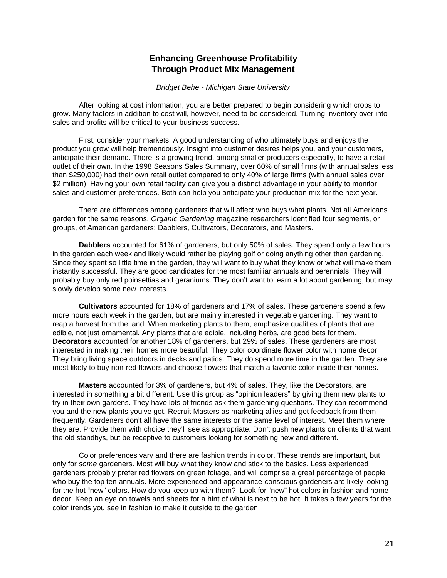# **Enhancing Greenhouse Profitability Through Product Mix Management**

*Bridget Behe - Michigan State University*

<span id="page-24-0"></span>After looking at cost information, you are better prepared to begin considering which crops to grow. Many factors in addition to cost will, however, need to be considered. Turning inventory over into sales and profits will be critical to your business success.

First, consider your markets. A good understanding of who ultimately buys and enjoys the product you grow will help tremendously. Insight into customer desires helps you, and your customers, anticipate their demand. There is a growing trend, among smaller producers especially, to have a retail outlet of their own. In the 1998 Seasons Sales Summary, over 60% of small firms (with annual sales less than \$250,000) had their own retail outlet compared to only 40% of large firms (with annual sales over \$2 million). Having your own retail facility can give you a distinct advantage in your ability to monitor sales and customer preferences. Both can help you anticipate your production mix for the next year.

There are differences among gardeners that will affect who buys what plants. Not all Americans garden for the same reasons. *Organic Gardening* magazine researchers identified four segments, or groups, of American gardeners: Dabblers, Cultivators, Decorators, and Masters.

**Dabblers** accounted for 61% of gardeners, but only 50% of sales. They spend only a few hours in the garden each week and likely would rather be playing golf or doing anything other than gardening. Since they spent so little time in the garden, they will want to buy what they know or what will make them instantly successful. They are good candidates for the most familiar annuals and perennials. They will probably buy only red poinsettias and geraniums. They don't want to learn a lot about gardening, but may slowly develop some new interests.

**Cultivators** accounted for 18% of gardeners and 17% of sales. These gardeners spend a few more hours each week in the garden, but are mainly interested in vegetable gardening. They want to reap a harvest from the land. When marketing plants to them, emphasize qualities of plants that are edible, not just ornamental. Any plants that are edible, including herbs, are good bets for them. **Decorators** accounted for another 18% of gardeners, but 29% of sales. These gardeners are most interested in making their homes more beautiful. They color coordinate flower color with home decor. They bring living space outdoors in decks and patios. They do spend more time in the garden. They are most likely to buy non-red flowers and choose flowers that match a favorite color inside their homes.

**Masters** accounted for 3% of gardeners, but 4% of sales. They, like the Decorators, are interested in something a bit different. Use this group as "opinion leaders" by giving them new plants to try in their own gardens. They have lots of friends ask them gardening questions. They can recommend you and the new plants you've got. Recruit Masters as marketing allies and get feedback from them frequently. Gardeners don't all have the same interests or the same level of interest. Meet them where they are. Provide them with choice they'll see as appropriate. Don't push new plants on clients that want the old standbys, but be receptive to customers looking for something new and different.

Color preferences vary and there are fashion trends in color. These trends are important, but only for *some* gardeners. Most will buy what they know and stick to the basics. Less experienced gardeners probably prefer red flowers on green foliage, and will comprise a great percentage of people who buy the top ten annuals. More experienced and appearance-conscious gardeners are likely looking for the hot "new" colors. How do you keep up with them? Look for "new" hot colors in fashion and home decor. Keep an eye on towels and sheets for a hint of what is next to be hot. It takes a few years for the color trends you see in fashion to make it outside to the garden.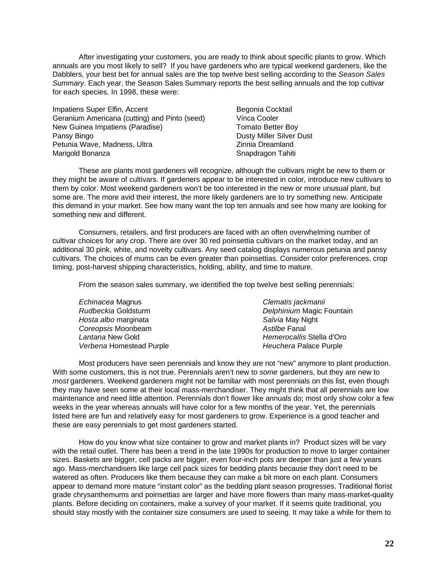After investigating your customers, you are ready to think about specific plants to grow. Which annuals are you most likely to sell? If you have gardeners who are typical weekend gardeners, like the Dabblers, your best bet for annual sales are the top twelve best selling according to the *Season Sales Summary*. Each year, the Season Sales Summary reports the best selling annuals and the top cultivar for each species. In 1998, these were:

Impatiens Super Elfin, Accent Begonia Cocktail Geranium Americana (cutting) and Pinto (seed) Vinca Cooler New Guinea Impatiens (Paradise) Tomato Better Boy Pansy Bingo **Dusty Miller Silver Dusty River Dusty Miller Silver Dust** Petunia Wave, Madness, Ultra **Nigarata Americana Americana** Zinnia Dreamland Marigold Bonanza Snapdragon Tahiti

These are plants most gardeners will recognize, although the cultivars might be new to them or they might be aware of cultivars. If gardeners appear to be interested in color, introduce new cultivars to them by color. Most weekend gardeners won't be too interested in the new or more unusual plant, but some are. The more avid their interest, the more likely gardeners are to try something new. Anticipate this demand in your market. See how many want the top ten annuals and see how many are looking for something new and different.

Consumers, retailers, and first producers are faced with an often overwhelming number of cultivar choices for any crop. There are over 30 red poinsettia cultivars on the market today, and an additional 30 pink, white, and novelty cultivars. Any seed catalog displays numerous petunia and pansy cultivars. The choices of mums can be even greater than poinsettias. Consider color preferences, crop timing, post-harvest shipping characteristics, holding, ability, and time to mature.

From the season sales summary, we identified the top twelve best selling perennials:

| Echinacea Magnus         | Clematis jackmanii        |
|--------------------------|---------------------------|
| Rudbeckia Goldsturm      | Delphinium Magic Fountain |
| Hosta albo marginata     | Salvia May Night          |
| Coreopsis Moonbeam       | Astilbe Fanal             |
| Lantana New Gold         | Hemerocallis Stella d'Oro |
| Verbena Homestead Purple | Heuchera Palace Purple    |

Most producers have seen perennials and know they are not "new" anymore to plant production. With some customers, this is not true. Perennials aren't new to *some* gardeners, but they are new to *most* gardeners. Weekend gardeners might not be familiar with most perennials on this list, even though they may have seen some at their local mass-merchandiser. They might think that all perennials are low maintenance and need little attention. Perennials don't flower like annuals do; most only show color a few weeks in the year whereas annuals will have color for a few months of the year. Yet, the perennials listed here are fun and relatively easy for most gardeners to grow. Experience is a good teacher and these are easy perennials to get most gardeners started.

How do you know what size container to grow and market plants in? Product sizes will be vary with the retail outlet. There has been a trend in the late 1990s for production to move to larger container sizes. Baskets are bigger, cell packs are bigger, even four-inch pots are deeper than just a few years ago. Mass-merchandisers like large cell pack sizes for bedding plants because they don't need to be watered as often. Producers like them because they can make a bit more on each plant. Consumers appear to demand more mature "instant color" as the bedding plant season progresses. Traditional florist grade chrysanthemums and poinsettias are larger and have more flowers than many mass-market-quality plants. Before deciding on containers, make a survey of your market. If it seems quite traditional, you should stay mostly with the container size consumers are used to seeing. It may take a while for them to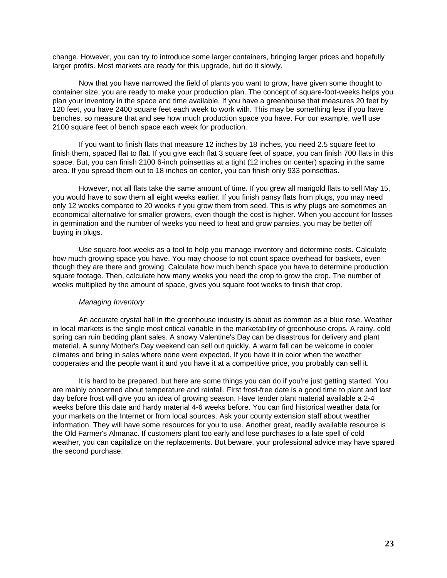change. However, you can try to introduce some larger containers, bringing larger prices and hopefully larger profits. Most markets are ready for this upgrade, but do it slowly.

Now that you have narrowed the field of plants you want to grow, have given some thought to container size, you are ready to make your production plan. The concept of square-foot-weeks helps you plan your inventory in the space and time available. If you have a greenhouse that measures 20 feet by 120 feet, you have 2400 square feet each week to work with. This may be something less if you have benches, so measure that and see how much production space you have. For our example, we'll use 2100 square feet of bench space each week for production.

If you want to finish flats that measure 12 inches by 18 inches, you need 2.5 square feet to finish them, spaced flat to flat. If you give each flat 3 square feet of space, you can finish 700 flats in this space. But, you can finish 2100 6-inch poinsettias at a tight (12 inches on center) spacing in the same area. If you spread them out to 18 inches on center, you can finish only 933 poinsettias.

However, not all flats take the same amount of time. If you grew all marigold flats to sell May 15, you would have to sow them all eight weeks earlier. If you finish pansy flats from plugs, you may need only 12 weeks compared to 20 weeks if you grow them from seed. This is why plugs are sometimes an economical alternative for smaller growers, even though the cost is higher. When you account for losses in germination and the number of weeks you need to heat and grow pansies, you may be better off buying in plugs.

Use square-foot-weeks as a tool to help you manage inventory and determine costs. Calculate how much growing space you have. You may choose to not count space overhead for baskets, even though they are there and growing. Calculate how much bench space you have to determine production square footage. Then, calculate how many weeks you need the crop to grow the crop. The number of weeks multiplied by the amount of space, gives you square foot weeks to finish that crop.

### *Managing Inventory*

An accurate crystal ball in the greenhouse industry is about as common as a blue rose. Weather in local markets is the single most critical variable in the marketability of greenhouse crops. A rainy, cold spring can ruin bedding plant sales. A snowy Valentine's Day can be disastrous for delivery and plant material. A sunny Mother's Day weekend can sell out quickly. A warm fall can be welcome in cooler climates and bring in sales where none were expected. If you have it in color when the weather cooperates and the people want it and you have it at a competitive price, you probably can sell it.

It is hard to be prepared, but here are some things you can do if you're just getting started. You are mainly concerned about temperature and rainfall. First frost-free date is a good time to plant and last day before frost will give you an idea of growing season. Have tender plant material available a 2-4 weeks before this date and hardy material 4-6 weeks before. You can find historical weather data for your markets on the Internet or from local sources. Ask your county extension staff about weather information. They will have some resources for you to use. Another great, readily available resource is the Old Farmer's Almanac. If customers plant too early and lose purchases to a late spell of cold weather, you can capitalize on the replacements. But beware, your professional advice may have spared the second purchase.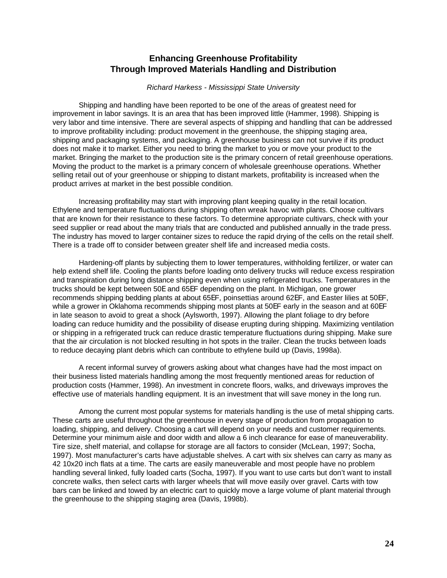# **Enhancing Greenhouse Profitability Through Improved Materials Handling and Distribution**

### *Richard Harkess - Mississippi State University*

<span id="page-27-0"></span>Shipping and handling have been reported to be one of the areas of greatest need for improvement in labor savings. It is an area that has been improved little (Hammer, 1998). Shipping is very labor and time intensive. There are several aspects of shipping and handling that can be addressed to improve profitability including: product movement in the greenhouse, the shipping staging area, shipping and packaging systems, and packaging. A greenhouse business can not survive if its product does not make it to market. Either you need to bring the market to you or move your product to the market. Bringing the market to the production site is the primary concern of retail greenhouse operations. Moving the product to the market is a primary concern of wholesale greenhouse operations. Whether selling retail out of your greenhouse or shipping to distant markets, profitability is increased when the product arrives at market in the best possible condition.

Increasing profitability may start with improving plant keeping quality in the retail location. Ethylene and temperature fluctuations during shipping often wreak havoc with plants. Choose cultivars that are known for their resistance to these factors. To determine appropriate cultivars, check with your seed supplier or read about the many trials that are conducted and published annually in the trade press. The industry has moved to larger container sizes to reduce the rapid drying of the cells on the retail shelf. There is a trade off to consider between greater shelf life and increased media costs.

Hardening-off plants by subjecting them to lower temperatures, withholding fertilizer, or water can help extend shelf life. Cooling the plants before loading onto delivery trucks will reduce excess respiration and transpiration during long distance shipping even when using refrigerated trucks. Temperatures in the trucks should be kept between 50E and 65EF depending on the plant. In Michigan, one grower recommends shipping bedding plants at about 65EF, poinsettias around 62EF, and Easter lilies at 50EF, while a grower in Oklahoma recommends shipping most plants at 50EF early in the season and at 60EF in late season to avoid to great a shock (Aylsworth, 1997). Allowing the plant foliage to dry before loading can reduce humidity and the possibility of disease erupting during shipping. Maximizing ventilation or shipping in a refrigerated truck can reduce drastic temperature fluctuations during shipping. Make sure that the air circulation is not blocked resulting in hot spots in the trailer. Clean the trucks between loads to reduce decaying plant debris which can contribute to ethylene build up (Davis, 1998a).

A recent informal survey of growers asking about what changes have had the most impact on their business listed materials handling among the most frequently mentioned areas for reduction of production costs (Hammer, 1998). An investment in concrete floors, walks, and driveways improves the effective use of materials handling equipment. It is an investment that will save money in the long run.

Among the current most popular systems for materials handling is the use of metal shipping carts. These carts are useful throughout the greenhouse in every stage of production from propagation to loading, shipping, and delivery. Choosing a cart will depend on your needs and customer requirements. Determine your minimum aisle and door width and allow a 6 inch clearance for ease of maneuverability. Tire size, shelf material, and collapse for storage are all factors to consider (McLean, 1997; Socha, 1997). Most manufacturer's carts have adjustable shelves. A cart with six shelves can carry as many as 42 10x20 inch flats at a time. The carts are easily maneuverable and most people have no problem handling several linked, fully loaded carts (Socha, 1997). If you want to use carts but don't want to install concrete walks, then select carts with larger wheels that will move easily over gravel. Carts with tow bars can be linked and towed by an electric cart to quickly move a large volume of plant material through the greenhouse to the shipping staging area (Davis, 1998b).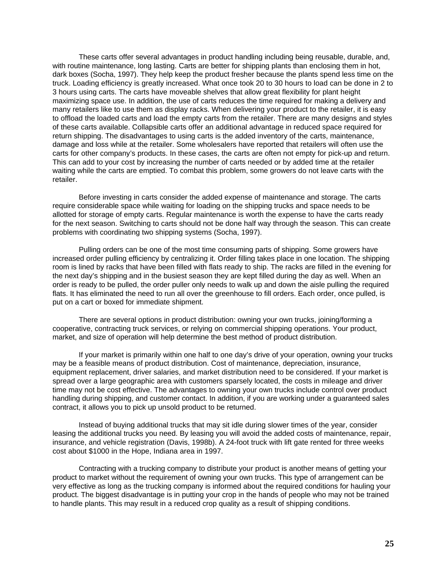These carts offer several advantages in product handling including being reusable, durable, and, with routine maintenance, long lasting. Carts are better for shipping plants than enclosing them in hot, dark boxes (Socha, 1997). They help keep the product fresher because the plants spend less time on the truck. Loading efficiency is greatly increased. What once took 20 to 30 hours to load can be done in 2 to 3 hours using carts. The carts have moveable shelves that allow great flexibility for plant height maximizing space use. In addition, the use of carts reduces the time required for making a delivery and many retailers like to use them as display racks. When delivering your product to the retailer, it is easy to offload the loaded carts and load the empty carts from the retailer. There are many designs and styles of these carts available. Collapsible carts offer an additional advantage in reduced space required for return shipping. The disadvantages to using carts is the added inventory of the carts, maintenance, damage and loss while at the retailer. Some wholesalers have reported that retailers will often use the carts for other company's products. In these cases, the carts are often not empty for pick-up and return. This can add to your cost by increasing the number of carts needed or by added time at the retailer waiting while the carts are emptied. To combat this problem, some growers do not leave carts with the retailer.

Before investing in carts consider the added expense of maintenance and storage. The carts require considerable space while waiting for loading on the shipping trucks and space needs to be allotted for storage of empty carts. Regular maintenance is worth the expense to have the carts ready for the next season. Switching to carts should not be done half way through the season. This can create problems with coordinating two shipping systems (Socha, 1997).

Pulling orders can be one of the most time consuming parts of shipping. Some growers have increased order pulling efficiency by centralizing it. Order filling takes place in one location. The shipping room is lined by racks that have been filled with flats ready to ship. The racks are filled in the evening for the next day's shipping and in the busiest season they are kept filled during the day as well. When an order is ready to be pulled, the order puller only needs to walk up and down the aisle pulling the required flats. It has eliminated the need to run all over the greenhouse to fill orders. Each order, once pulled, is put on a cart or boxed for immediate shipment.

There are several options in product distribution: owning your own trucks, joining/forming a cooperative, contracting truck services, or relying on commercial shipping operations. Your product, market, and size of operation will help determine the best method of product distribution.

If your market is primarily within one half to one day's drive of your operation, owning your trucks may be a feasible means of product distribution. Cost of maintenance, depreciation, insurance, equipment replacement, driver salaries, and market distribution need to be considered. If your market is spread over a large geographic area with customers sparsely located, the costs in mileage and driver time may not be cost effective. The advantages to owning your own trucks include control over product handling during shipping, and customer contact. In addition, if you are working under a guaranteed sales contract, it allows you to pick up unsold product to be returned.

Instead of buying additional trucks that may sit idle during slower times of the year, consider leasing the additional trucks you need. By leasing you will avoid the added costs of maintenance, repair, insurance, and vehicle registration (Davis, 1998b). A 24-foot truck with lift gate rented for three weeks cost about \$1000 in the Hope, Indiana area in 1997.

Contracting with a trucking company to distribute your product is another means of getting your product to market without the requirement of owning your own trucks. This type of arrangement can be very effective as long as the trucking company is informed about the required conditions for hauling your product. The biggest disadvantage is in putting your crop in the hands of people who may not be trained to handle plants. This may result in a reduced crop quality as a result of shipping conditions.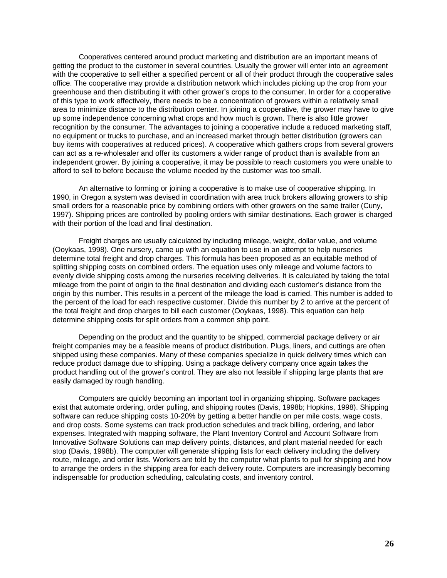Cooperatives centered around product marketing and distribution are an important means of getting the product to the customer in several countries. Usually the grower will enter into an agreement with the cooperative to sell either a specified percent or all of their product through the cooperative sales office. The cooperative may provide a distribution network which includes picking up the crop from your greenhouse and then distributing it with other grower's crops to the consumer. In order for a cooperative of this type to work effectively, there needs to be a concentration of growers within a relatively small area to minimize distance to the distribution center. In joining a cooperative, the grower may have to give up some independence concerning what crops and how much is grown. There is also little grower recognition by the consumer. The advantages to joining a cooperative include a reduced marketing staff, no equipment or trucks to purchase, and an increased market through better distribution (growers can buy items with cooperatives at reduced prices). A cooperative which gathers crops from several growers can act as a re-wholesaler and offer its customers a wider range of product than is available from an independent grower. By joining a cooperative, it may be possible to reach customers you were unable to afford to sell to before because the volume needed by the customer was too small.

An alternative to forming or joining a cooperative is to make use of cooperative shipping. In 1990, in Oregon a system was devised in coordination with area truck brokers allowing growers to ship small orders for a reasonable price by combining orders with other growers on the same trailer (Cuny, 1997). Shipping prices are controlled by pooling orders with similar destinations. Each grower is charged with their portion of the load and final destination.

Freight charges are usually calculated by including mileage, weight, dollar value, and volume (Ooykaas, 1998). One nursery, came up with an equation to use in an attempt to help nurseries determine total freight and drop charges. This formula has been proposed as an equitable method of splitting shipping costs on combined orders. The equation uses only mileage and volume factors to evenly divide shipping costs among the nurseries receiving deliveries. It is calculated by taking the total mileage from the point of origin to the final destination and dividing each customer's distance from the origin by this number. This results in a percent of the mileage the load is carried. This number is added to the percent of the load for each respective customer. Divide this number by 2 to arrive at the percent of the total freight and drop charges to bill each customer (Ooykaas, 1998). This equation can help determine shipping costs for split orders from a common ship point.

Depending on the product and the quantity to be shipped, commercial package delivery or air freight companies may be a feasible means of product distribution. Plugs, liners, and cuttings are often shipped using these companies. Many of these companies specialize in quick delivery times which can reduce product damage due to shipping. Using a package delivery company once again takes the product handling out of the grower's control. They are also not feasible if shipping large plants that are easily damaged by rough handling.

Computers are quickly becoming an important tool in organizing shipping. Software packages exist that automate ordering, order pulling, and shipping routes (Davis, 1998b; Hopkins, 1998). Shipping software can reduce shipping costs 10-20% by getting a better handle on per mile costs, wage costs, and drop costs. Some systems can track production schedules and track billing, ordering, and labor expenses. Integrated with mapping software, the Plant Inventory Control and Account Software from Innovative Software Solutions can map delivery points, distances, and plant material needed for each stop (Davis, 1998b). The computer will generate shipping lists for each delivery including the delivery route, mileage, and order lists. Workers are told by the computer what plants to pull for shipping and how to arrange the orders in the shipping area for each delivery route. Computers are increasingly becoming indispensable for production scheduling, calculating costs, and inventory control.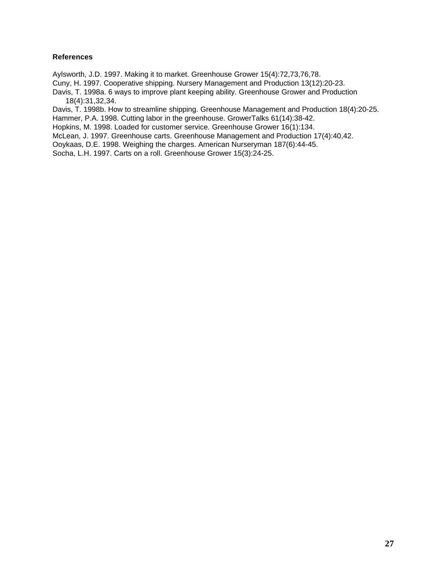# **References**

Aylsworth, J.D. 1997. Making it to market. Greenhouse Grower 15(4):72,73,76,78.

Cuny, H. 1997. Cooperative shipping. Nursery Management and Production 13(12):20-23.

Davis, T. 1998a. 6 ways to improve plant keeping ability. Greenhouse Grower and Production 18(4):31,32,34.

Davis, T. 1998b. How to streamline shipping. Greenhouse Management and Production 18(4):20-25.

Hammer, P.A. 1998. Cutting labor in the greenhouse. GrowerTalks 61(14):38-42.

Hopkins, M. 1998. Loaded for customer service. Greenhouse Grower 16(1):134.

McLean, J. 1997. Greenhouse carts. Greenhouse Management and Production 17(4):40,42.

Ooykaas, D.E. 1998. Weighing the charges. American Nurseryman 187(6):44-45.

Socha, L.H. 1997. Carts on a roll. Greenhouse Grower 15(3):24-25.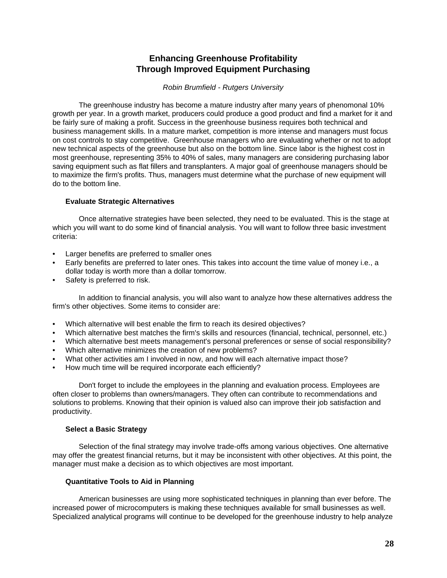# **Enhancing Greenhouse Profitability Through Improved Equipment Purchasing**

### *Robin Brumfield - Rutgers University*

<span id="page-31-0"></span>The greenhouse industry has become a mature industry after many years of phenomonal 10% growth per year. In a growth market, producers could produce a good product and find a market for it and be fairly sure of making a profit. Success in the greenhouse business requires both technical and business management skills. In a mature market, competition is more intense and managers must focus on cost controls to stay competitive. Greenhouse managers who are evaluating whether or not to adopt new technical aspects of the greenhouse but also on the bottom line. Since labor is the highest cost in most greenhouse, representing 35% to 40% of sales, many managers are considering purchasing labor saving equipment such as flat fillers and transplanters. A major goal of greenhouse managers should be to maximize the firm's profits. Thus, managers must determine what the purchase of new equipment will do to the bottom line.

# **Evaluate Strategic Alternatives**

Once alternative strategies have been selected, they need to be evaluated. This is the stage at which you will want to do some kind of financial analysis. You will want to follow three basic investment criteria:

- Larger benefits are preferred to smaller ones
- Early benefits are preferred to later ones. This takes into account the time value of money i.e., a dollar today is worth more than a dollar tomorrow.
- Safety is preferred to risk.

In addition to financial analysis, you will also want to analyze how these alternatives address the firm's other objectives. Some items to consider are:

- Which alternative will best enable the firm to reach its desired objectives?
- Which alternative best matches the firm's skills and resources (financial, technical, personnel, etc.)
- Which alternative best meets management's personal preferences or sense of social responsibility?
- Which alternative minimizes the creation of new problems?
- What other activities am I involved in now, and how will each alternative impact those?
- How much time will be required incorporate each efficiently?

Don't forget to include the employees in the planning and evaluation process. Employees are often closer to problems than owners/managers. They often can contribute to recommendations and solutions to problems. Knowing that their opinion is valued also can improve their job satisfaction and productivity.

# **Select a Basic Strategy**

Selection of the final strategy may involve trade-offs among various objectives. One alternative may offer the greatest financial returns, but it may be inconsistent with other objectives. At this point, the manager must make a decision as to which objectives are most important.

# **Quantitative Tools to Aid in Planning**

American businesses are using more sophisticated techniques in planning than ever before. The increased power of microcomputers is making these techniques available for small businesses as well. Specialized analytical programs will continue to be developed for the greenhouse industry to help analyze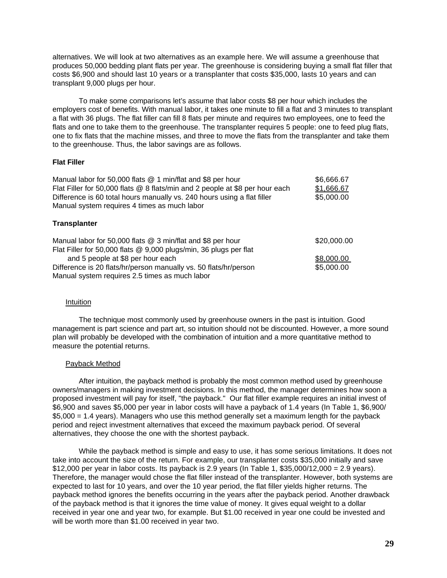alternatives. We will look at two alternatives as an example here. We will assume a greenhouse that produces 50,000 bedding plant flats per year. The greenhouse is considering buying a small flat filler that costs \$6,900 and should last 10 years or a transplanter that costs \$35,000, lasts 10 years and can transplant 9,000 plugs per hour.

To make some comparisons let's assume that labor costs \$8 per hour which includes the employers cost of benefits. With manual labor, it takes one minute to fill a flat and 3 minutes to transplant a flat with 36 plugs. The flat filler can fill 8 flats per minute and requires two employees, one to feed the flats and one to take them to the greenhouse. The transplanter requires 5 people: one to feed plug flats, one to fix flats that the machine misses, and three to move the flats from the transplanter and take them to the greenhouse. Thus, the labor savings are as follows.

### **Flat Filler**

| \$6,666.67  |
|-------------|
| \$1,666.67  |
| \$5,000.00  |
|             |
|             |
| \$20,000.00 |
|             |
| \$8,000.00  |
| \$5,000.00  |
|             |
|             |

### Intuition

The technique most commonly used by greenhouse owners in the past is intuition. Good management is part science and part art, so intuition should not be discounted. However, a more sound plan will probably be developed with the combination of intuition and a more quantitative method to measure the potential returns.

# Payback Method

After intuition, the payback method is probably the most common method used by greenhouse owners/managers in making investment decisions. In this method, the manager determines how soon a proposed investment will pay for itself, "the payback." Our flat filler example requires an initial invest of \$6,900 and saves \$5,000 per year in labor costs will have a payback of 1.4 years (In Table 1, \$6,900/ \$5,000 = 1.4 years). Managers who use this method generally set a maximum length for the payback period and reject investment alternatives that exceed the maximum payback period. Of several alternatives, they choose the one with the shortest payback.

While the payback method is simple and easy to use, it has some serious limitations. It does not take into account the size of the return. For example, our transplanter costs \$35,000 initially and save \$12,000 per year in labor costs. Its payback is 2.9 years (In Table 1, \$35,000/12,000 = 2.9 years). Therefore, the manager would chose the flat filler instead of the transplanter. However, both systems are expected to last for 10 years, and over the 10 year period, the flat filler yields higher returns. The payback method ignores the benefits occurring in the years after the payback period. Another drawback of the payback method is that it ignores the time value of money. It gives equal weight to a dollar received in year one and year two, for example. But \$1.00 received in year one could be invested and will be worth more than \$1.00 received in year two.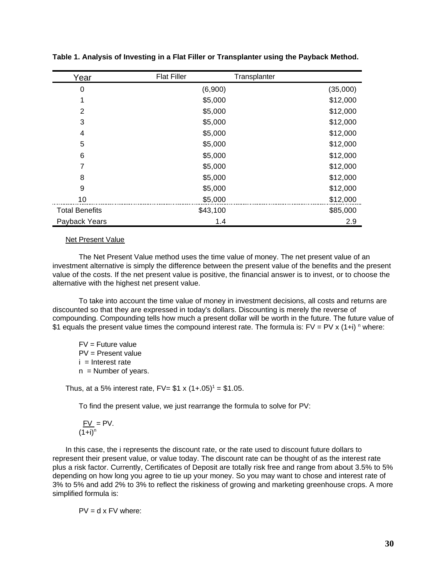| Year                  | <b>Flat Filler</b> | Transplanter |          |
|-----------------------|--------------------|--------------|----------|
| 0                     | (6,900)            |              | (35,000) |
|                       | \$5,000            |              | \$12,000 |
| $\overline{2}$        | \$5,000            |              | \$12,000 |
| 3                     | \$5,000            |              | \$12,000 |
| 4                     | \$5,000            |              | \$12,000 |
| 5                     | \$5,000            |              | \$12,000 |
| 6                     | \$5,000            |              | \$12,000 |
| 7                     | \$5,000            |              | \$12,000 |
| 8                     | \$5,000            |              | \$12,000 |
| 9                     | \$5,000            |              | \$12,000 |
| 10                    | \$5,000            |              | \$12,000 |
| <b>Total Benefits</b> | \$43,100           |              | \$85,000 |
| Payback Years         | 1.4                |              | 2.9      |

**Table 1. Analysis of Investing in a Flat Filler or Transplanter using the Payback Method.**

#### Net Present Value

The Net Present Value method uses the time value of money. The net present value of an investment alternative is simply the difference between the present value of the benefits and the present value of the costs. If the net present value is positive, the financial answer is to invest, or to choose the alternative with the highest net present value.

To take into account the time value of money in investment decisions, all costs and returns are discounted so that they are expressed in today's dollars. Discounting is merely the reverse of compounding. Compounding tells how much a present dollar will be worth in the future. The future value of \$1 equals the present value times the compound interest rate. The formula is:  $FV = PV \times (1+i)$  <sup>n</sup> where:

 $FV =$  Future value PV = Present value  $i =$  Interest rate  $n =$  Number of years.

Thus, at a 5% interest rate, FV=  $$1 x (1+.05)^1 = $1.05$ .

To find the present value, we just rearrange the formula to solve for PV:

$$
\frac{FV}{(1+i)^n} = PV.
$$

In this case, the i represents the discount rate, or the rate used to discount future dollars to represent their present value, or value today. The discount rate can be thought of as the interest rate plus a risk factor. Currently, Certificates of Deposit are totally risk free and range from about 3.5% to 5% depending on how long you agree to tie up your money. So you may want to chose and interest rate of 3% to 5% and add 2% to 3% to reflect the riskiness of growing and marketing greenhouse crops. A more simplified formula is:

$$
PV = d \times FV \text{ where:}
$$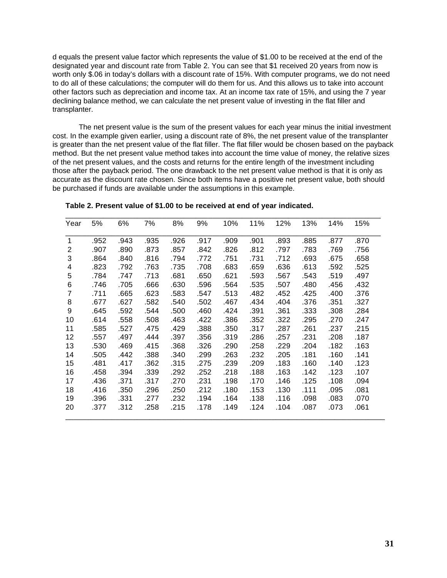d equals the present value factor which represents the value of \$1.00 to be received at the end of the designated year and discount rate from Table 2. You can see that \$1 received 20 years from now is worth only \$.06 in today's dollars with a discount rate of 15%. With computer programs, we do not need to do all of these calculations; the computer will do them for us. And this allows us to take into account other factors such as depreciation and income tax. At an income tax rate of 15%, and using the 7 year declining balance method, we can calculate the net present value of investing in the flat filler and transplanter.

The net present value is the sum of the present values for each year minus the initial investment cost. In the example given earlier, using a discount rate of 8%, the net present value of the transplanter is greater than the net present value of the flat filler. The flat filler would be chosen based on the payback method. But the net present value method takes into account the time value of money, the relative sizes of the net present values, and the costs and returns for the entire length of the investment including those after the payback period. The one drawback to the net present value method is that it is only as accurate as the discount rate chosen. Since both items have a positive net present value, both should be purchased if funds are available under the assumptions in this example.

\_\_\_\_\_\_\_\_\_\_\_\_\_\_\_\_\_\_\_\_\_\_\_\_\_\_\_\_\_\_\_\_\_\_\_\_\_\_\_\_\_\_\_\_\_\_\_\_\_\_\_\_\_\_\_\_\_\_\_\_\_\_\_\_\_\_\_\_\_\_\_\_\_\_\_

| Year           | 5%   | 6%   | 7%   | 8%   | 9%   | 10%  | 11%  | 12%  | 13%  | 14%  | 15%  |
|----------------|------|------|------|------|------|------|------|------|------|------|------|
| $\mathbf 1$    | .952 | .943 | .935 | .926 | .917 | .909 | .901 | .893 | .885 | .877 | .870 |
| 2              | .907 | .890 | .873 | .857 | .842 | .826 | .812 | .797 | .783 | .769 | .756 |
| 3              | .864 | .840 | .816 | .794 | .772 | .751 | .731 | .712 | .693 | .675 | .658 |
| 4              | .823 | .792 | .763 | .735 | .708 | .683 | .659 | .636 | .613 | .592 | .525 |
| 5              | .784 | .747 | .713 | .681 | .650 | .621 | .593 | .567 | .543 | .519 | .497 |
| 6              | .746 | .705 | .666 | .630 | .596 | .564 | .535 | .507 | .480 | .456 | .432 |
| $\overline{7}$ | .711 | .665 | .623 | .583 | .547 | .513 | .482 | .452 | .425 | .400 | .376 |
| 8              | .677 | .627 | .582 | .540 | .502 | .467 | .434 | .404 | .376 | .351 | .327 |
| 9              | .645 | .592 | .544 | .500 | .460 | .424 | .391 | .361 | .333 | .308 | .284 |
| 10             | .614 | .558 | .508 | .463 | .422 | .386 | .352 | .322 | .295 | .270 | .247 |
| 11             | .585 | .527 | .475 | .429 | .388 | .350 | .317 | .287 | .261 | .237 | .215 |
| 12             | .557 | .497 | .444 | .397 | .356 | .319 | .286 | .257 | .231 | .208 | .187 |
| 13             | .530 | .469 | .415 | .368 | .326 | .290 | .258 | .229 | .204 | .182 | .163 |
| 14             | .505 | .442 | .388 | .340 | .299 | .263 | .232 | .205 | .181 | .160 | .141 |
| 15             | .481 | .417 | .362 | .315 | .275 | .239 | .209 | .183 | .160 | .140 | .123 |
| 16             | .458 | .394 | .339 | .292 | .252 | .218 | .188 | .163 | .142 | .123 | .107 |
| 17             | .436 | .371 | .317 | .270 | .231 | .198 | .170 | .146 | .125 | .108 | .094 |
| 18             | .416 | .350 | .296 | .250 | .212 | .180 | .153 | .130 | .111 | .095 | .081 |
| 19             | .396 | .331 | .277 | .232 | .194 | .164 | .138 | .116 | .098 | .083 | .070 |
| 20             | .377 | .312 | .258 | .215 | .178 | .149 | .124 | .104 | .087 | .073 | .061 |

**Table 2. Present value of \$1.00 to be received at end of year indicated.**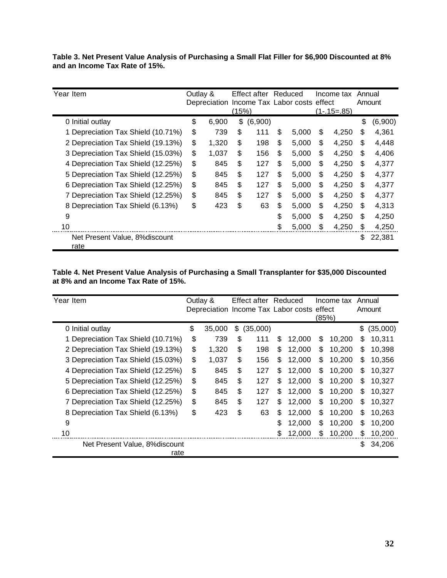**Table 3. Net Present Value Analysis of Purchasing a Small Flat Filler for \$6,900 Discounted at 8% and an Income Tax Rate of 15%.**

| Year Item                              | Outlay & |              |       | Effect after Reduced |                               | Income tax  | Annual |         |
|----------------------------------------|----------|--------------|-------|----------------------|-------------------------------|-------------|--------|---------|
|                                        |          | Depreciation |       |                      | Income Tax Labor costs effect |             |        | Amount  |
|                                        |          |              | (15%) |                      |                               | (1-.15=.85) |        |         |
| 0 Initial outlay                       | \$       | 6,900        | \$    | (6,900)              |                               |             | \$     | (6,900) |
| 1 Depreciation Tax Shield (10.71%)     | \$       | 739          | \$    | 111                  | \$<br>5,000                   | \$<br>4,250 | S      | 4,361   |
| 2 Depreciation Tax Shield (19.13%)     | \$       | 1.320        | \$    | 198                  | \$<br>5,000                   | \$<br>4,250 | \$     | 4,448   |
| 3 Depreciation Tax Shield (15.03%)     | \$       | 1.037        | \$    | 156                  | \$<br>5.000                   | \$<br>4.250 | \$.    | 4,406   |
| 4 Depreciation Tax Shield (12.25%)     | \$       | 845          | \$    | 127                  | \$<br>5.000                   | \$<br>4,250 | S      | 4,377   |
| 5 Depreciation Tax Shield (12.25%)     | \$       | 845          | \$    | 127                  | \$<br>5,000                   | \$<br>4,250 | \$     | 4,377   |
| 6 Depreciation Tax Shield (12.25%)     | \$       | 845          | \$    | 127                  | \$<br>5,000                   | \$<br>4,250 | S      | 4,377   |
| 7 Depreciation Tax Shield (12.25%)     | \$       | 845          | \$    | 127                  | \$<br>5,000                   | \$<br>4,250 | S      | 4,377   |
| 8 Depreciation Tax Shield (6.13%)      | \$       | 423          | \$    | 63                   | \$<br>5.000                   | \$<br>4,250 | \$     | 4,313   |
| 9                                      |          |              |       |                      | \$<br>5,000                   | \$<br>4,250 | \$.    | 4,250   |
| 10                                     |          |              |       |                      | \$<br>5,000                   | \$<br>4,250 | S      | 4,250   |
| Net Present Value, 8% discount<br>rate |          |              |       |                      |                               |             | S      | 22,381  |

**Table 4. Net Present Value Analysis of Purchasing a Small Transplanter for \$35,000 Discounted at 8% and an Income Tax Rate of 15%.**

| Year Item                          | Outlay &<br>Depreciation Income Tax Labor costs effect | Effect after Reduced |    |        |       | Income tax |     | Annual<br>Amount |
|------------------------------------|--------------------------------------------------------|----------------------|----|--------|-------|------------|-----|------------------|
|                                    |                                                        |                      |    |        | (85%) |            |     |                  |
| 0 Initial outlay                   | \$<br>35,000                                           | \$<br>(35,000)       |    |        |       |            | \$  | (35,000)         |
| 1 Depreciation Tax Shield (10.71%) | \$<br>739                                              | \$<br>111            | \$ | 12,000 | \$    | 10,200     | \$  | 10,311           |
| 2 Depreciation Tax Shield (19.13%) | \$<br>1,320                                            | \$<br>198            | \$ | 12,000 | \$    | 10,200     | \$  | 10,398           |
| 3 Depreciation Tax Shield (15.03%) | \$<br>1.037                                            | \$<br>156            | \$ | 12.000 | \$    | 10.200     | S   | 10,356           |
| 4 Depreciation Tax Shield (12.25%) | \$<br>845                                              | \$<br>127            | \$ | 12.000 | \$    | 10.200     | \$  | 10,327           |
| 5 Depreciation Tax Shield (12.25%) | \$<br>845                                              | \$<br>127            | \$ | 12.000 | \$    | 10.200     | S   | 10.327           |
| 6 Depreciation Tax Shield (12.25%) | \$<br>845                                              | \$<br>127            | \$ | 12.000 | \$    | 10.200     | S   | 10,327           |
| 7 Depreciation Tax Shield (12.25%) | \$<br>845                                              | \$<br>127            | S  | 12.000 | \$    | 10.200     | S   | 10,327           |
| 8 Depreciation Tax Shield (6.13%)  | \$<br>423                                              | \$<br>63             | \$ | 12,000 | \$    | 10.200     | S   | 10,263           |
| 9                                  |                                                        |                      | \$ | 12,000 | \$    | 10,200     | \$  | 10,200           |
| 10                                 |                                                        |                      | \$ | 12,000 | \$    | 10,200     | S   | 10,200           |
| Net Present Value, 8% discount     |                                                        |                      |    |        |       |            | \$. | 34,206           |
| rate                               |                                                        |                      |    |        |       |            |     |                  |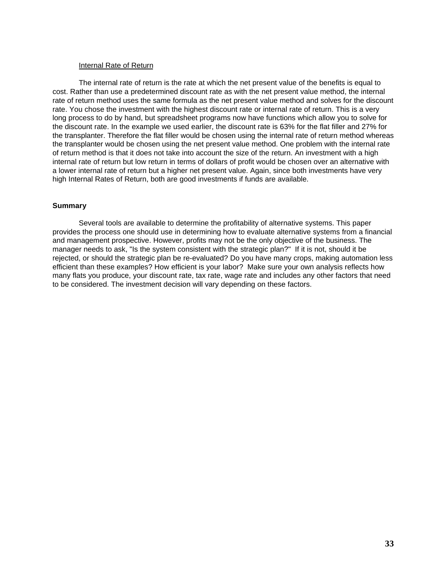### Internal Rate of Return

The internal rate of return is the rate at which the net present value of the benefits is equal to cost. Rather than use a predetermined discount rate as with the net present value method, the internal rate of return method uses the same formula as the net present value method and solves for the discount rate. You chose the investment with the highest discount rate or internal rate of return. This is a very long process to do by hand, but spreadsheet programs now have functions which allow you to solve for the discount rate. In the example we used earlier, the discount rate is 63% for the flat filler and 27% for the transplanter. Therefore the flat filler would be chosen using the internal rate of return method whereas the transplanter would be chosen using the net present value method. One problem with the internal rate of return method is that it does not take into account the size of the return. An investment with a high internal rate of return but low return in terms of dollars of profit would be chosen over an alternative with a lower internal rate of return but a higher net present value. Again, since both investments have very high Internal Rates of Return, both are good investments if funds are available.

### **Summary**

Several tools are available to determine the profitability of alternative systems. This paper provides the process one should use in determining how to evaluate alternative systems from a financial and management prospective. However, profits may not be the only objective of the business. The manager needs to ask, "Is the system consistent with the strategic plan?" If it is not, should it be rejected, or should the strategic plan be re-evaluated? Do you have many crops, making automation less efficient than these examples? How efficient is your labor? Make sure your own analysis reflects how many flats you produce, your discount rate, tax rate, wage rate and includes any other factors that need to be considered. The investment decision will vary depending on these factors.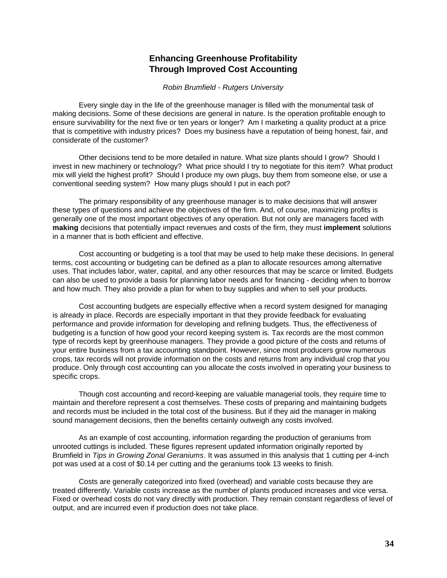# **Enhancing Greenhouse Profitability Through Improved Cost Accounting**

*Robin Brumfield - Rutgers University*

<span id="page-37-0"></span>Every single day in the life of the greenhouse manager is filled with the monumental task of making decisions. Some of these decisions are general in nature. Is the operation profitable enough to ensure survivability for the next five or ten years or longer? Am I marketing a quality product at a price that is competitive with industry prices? Does my business have a reputation of being honest, fair, and considerate of the customer?

Other decisions tend to be more detailed in nature. What size plants should I grow? Should I invest in new machinery or technology? What price should I try to negotiate for this item? What product mix will yield the highest profit? Should I produce my own plugs, buy them from someone else, or use a conventional seeding system? How many plugs should I put in each pot?

The primary responsibility of any greenhouse manager is to make decisions that will answer these types of questions and achieve the objectives of the firm. And, of course, maximizing profits is generally one of the most important objectives of any operation. But not only are managers faced with **making** decisions that potentially impact revenues and costs of the firm, they must **implement** solutions in a manner that is both efficient and effective.

Cost accounting or budgeting is a tool that may be used to help make these decisions. In general terms, cost accounting or budgeting can be defined as a plan to allocate resources among alternative uses. That includes labor, water, capital, and any other resources that may be scarce or limited. Budgets can also be used to provide a basis for planning labor needs and for financing - deciding when to borrow and how much. They also provide a plan for when to buy supplies and when to sell your products.

Cost accounting budgets are especially effective when a record system designed for managing is already in place. Records are especially important in that they provide feedback for evaluating performance and provide information for developing and refining budgets. Thus, the effectiveness of budgeting is a function of how good your record keeping system is. Tax records are the most common type of records kept by greenhouse managers. They provide a good picture of the costs and returns of your entire business from a tax accounting standpoint. However, since most producers grow numerous crops, tax records will not provide information on the costs and returns from any individual crop that you produce. Only through cost accounting can you allocate the costs involved in operating your business to specific crops.

Though cost accounting and record-keeping are valuable managerial tools, they require time to maintain and therefore represent a cost themselves. These costs of preparing and maintaining budgets and records must be included in the total cost of the business. But if they aid the manager in making sound management decisions, then the benefits certainly outweigh any costs involved.

As an example of cost accounting, information regarding the production of geraniums from unrooted cuttings is included. These figures represent updated information originally reported by Brumfield in *Tips in Growing Zonal Geraniums*. It was assumed in this analysis that 1 cutting per 4-inch pot was used at a cost of \$0.14 per cutting and the geraniums took 13 weeks to finish.

Costs are generally categorized into fixed (overhead) and variable costs because they are treated differently. Variable costs increase as the number of plants produced increases and vice versa. Fixed or overhead costs do not vary directly with production. They remain constant regardless of level of output, and are incurred even if production does not take place.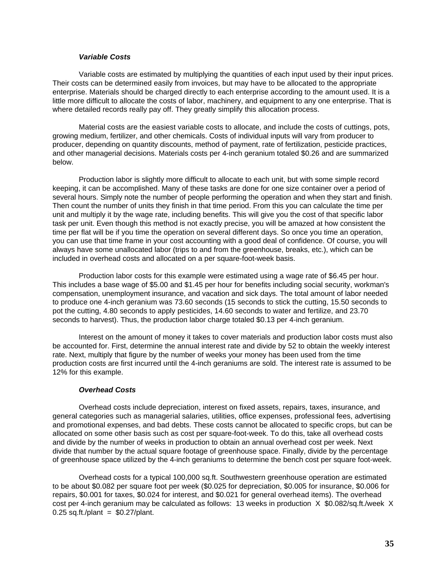# *Variable Costs*

Variable costs are estimated by multiplying the quantities of each input used by their input prices. Their costs can be determined easily from invoices, but may have to be allocated to the appropriate enterprise. Materials should be charged directly to each enterprise according to the amount used. It is a little more difficult to allocate the costs of labor, machinery, and equipment to any one enterprise. That is where detailed records really pay off. They greatly simplify this allocation process.

Material costs are the easiest variable costs to allocate, and include the costs of cuttings, pots, growing medium, fertilizer, and other chemicals. Costs of individual inputs will vary from producer to producer, depending on quantity discounts, method of payment, rate of fertilization, pesticide practices, and other managerial decisions. Materials costs per 4-inch geranium totaled \$0.26 and are summarized below.

Production labor is slightly more difficult to allocate to each unit, but with some simple record keeping, it can be accomplished. Many of these tasks are done for one size container over a period of several hours. Simply note the number of people performing the operation and when they start and finish. Then count the number of units they finish in that time period. From this you can calculate the time per unit and multiply it by the wage rate, including benefits. This will give you the cost of that specific labor task per unit. Even though this method is not exactly precise, you will be amazed at how consistent the time per flat will be if you time the operation on several different days. So once you time an operation, you can use that time frame in your cost accounting with a good deal of confidence. Of course, you will always have some unallocated labor (trips to and from the greenhouse, breaks, etc.), which can be included in overhead costs and allocated on a per square-foot-week basis.

Production labor costs for this example were estimated using a wage rate of \$6.45 per hour. This includes a base wage of \$5.00 and \$1.45 per hour for benefits including social security, workman's compensation, unemployment insurance, and vacation and sick days. The total amount of labor needed to produce one 4-inch geranium was 73.60 seconds (15 seconds to stick the cutting, 15.50 seconds to pot the cutting, 4.80 seconds to apply pesticides, 14.60 seconds to water and fertilize, and 23.70 seconds to harvest). Thus, the production labor charge totaled \$0.13 per 4-inch geranium.

Interest on the amount of money it takes to cover materials and production labor costs must also be accounted for. First, determine the annual interest rate and divide by 52 to obtain the weekly interest rate. Next, multiply that figure by the number of weeks your money has been used from the time production costs are first incurred until the 4-inch geraniums are sold. The interest rate is assumed to be 12% for this example.

### *Overhead Costs*

Overhead costs include depreciation, interest on fixed assets, repairs, taxes, insurance, and general categories such as managerial salaries, utilities, office expenses, professional fees, advertising and promotional expenses, and bad debts. These costs cannot be allocated to specific crops, but can be allocated on some other basis such as cost per square-foot-week. To do this, take all overhead costs and divide by the number of weeks in production to obtain an annual overhead cost per week. Next divide that number by the actual square footage of greenhouse space. Finally, divide by the percentage of greenhouse space utilized by the 4-inch geraniums to determine the bench cost per square foot-week.

Overhead costs for a typical 100,000 sq.ft. Southwestern greenhouse operation are estimated to be about \$0.082 per square foot per week (\$0.025 for depreciation, \$0.005 for insurance, \$0.006 for repairs, \$0.001 for taxes, \$0.024 for interest, and \$0.021 for general overhead items). The overhead cost per 4-inch geranium may be calculated as follows: 13 weeks in production X \$0.082/sq.ft./week X  $0.25$  sq.ft./plant = \$0.27/plant.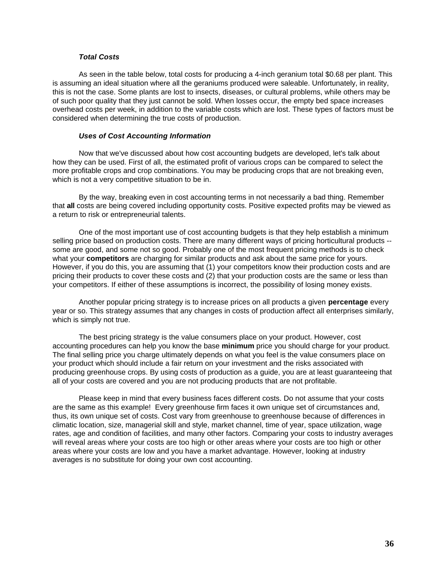## *Total Costs*

As seen in the table below, total costs for producing a 4-inch geranium total \$0.68 per plant. This is assuming an ideal situation where all the geraniums produced were saleable. Unfortunately, in reality, this is not the case. Some plants are lost to insects, diseases, or cultural problems, while others may be of such poor quality that they just cannot be sold. When losses occur, the empty bed space increases overhead costs per week, in addition to the variable costs which are lost. These types of factors must be considered when determining the true costs of production.

### *Uses of Cost Accounting Information*

Now that we've discussed about how cost accounting budgets are developed, let's talk about how they can be used. First of all, the estimated profit of various crops can be compared to select the more profitable crops and crop combinations. You may be producing crops that are not breaking even, which is not a very competitive situation to be in.

By the way, breaking even in cost accounting terms in not necessarily a bad thing. Remember that **all** costs are being covered including opportunity costs. Positive expected profits may be viewed as a return to risk or entrepreneurial talents.

One of the most important use of cost accounting budgets is that they help establish a minimum selling price based on production costs. There are many different ways of pricing horticultural products -some are good, and some not so good. Probably one of the most frequent pricing methods is to check what your **competitors** are charging for similar products and ask about the same price for yours. However, if you do this, you are assuming that (1) your competitors know their production costs and are pricing their products to cover these costs and (2) that your production costs are the same or less than your competitors. If either of these assumptions is incorrect, the possibility of losing money exists.

Another popular pricing strategy is to increase prices on all products a given **percentage** every year or so. This strategy assumes that any changes in costs of production affect all enterprises similarly, which is simply not true.

The best pricing strategy is the value consumers place on your product. However, cost accounting procedures can help you know the base **minimum** price you should charge for your product. The final selling price you charge ultimately depends on what you feel is the value consumers place on your product which should include a fair return on your investment and the risks associated with producing greenhouse crops. By using costs of production as a guide, you are at least guaranteeing that all of your costs are covered and you are not producing products that are not profitable.

Please keep in mind that every business faces different costs. Do not assume that your costs are the same as this example! Every greenhouse firm faces it own unique set of circumstances and, thus, its own unique set of costs. Cost vary from greenhouse to greenhouse because of differences in climatic location, size, managerial skill and style, market channel, time of year, space utilization, wage rates, age and condition of facilities, and many other factors. Comparing your costs to industry averages will reveal areas where your costs are too high or other areas where your costs are too high or other areas where your costs are low and you have a market advantage. However, looking at industry averages is no substitute for doing your own cost accounting.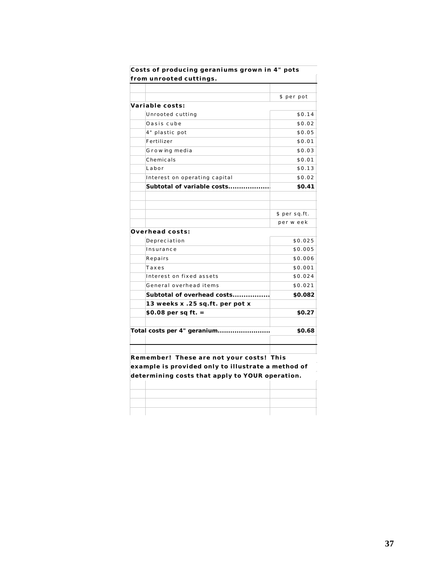| from unrooted cuttings.                            |               |
|----------------------------------------------------|---------------|
|                                                    |               |
|                                                    | \$ per pot    |
| Variable costs:                                    |               |
| Unrooted cutting                                   | \$0.14        |
| Oasis cube                                         | \$0.02        |
| 4" plastic pot                                     | \$0.05        |
| Fertilizer                                         | \$0.01        |
| Growing media                                      | \$0.03        |
| Chemicals                                          | \$0.01        |
| Labor                                              | \$0.13        |
| Interest on operating capital                      | \$0.02        |
| Subtotal of variable costs                         | \$0.41        |
|                                                    |               |
|                                                    | \$ per sq.ft. |
|                                                    | per w eek     |
| <b>Overhead costs:</b>                             |               |
| Depreciation                                       | \$0.025       |
| Insurance                                          | \$0.005       |
| Repairs                                            | \$0.006       |
| Taxes                                              | \$0.001       |
| Interest on fixed assets                           | \$0.024       |
| General overhead items                             | \$0.021       |
| Subtotal of overhead costs                         | \$0.082       |
| 13 weeks x .25 sq.ft. per pot x                    |               |
| \$0.08 per sq ft. =                                | \$0.27        |
|                                                    |               |
| Total costs per 4" geranium                        | \$0.68        |
|                                                    |               |
|                                                    |               |
| Remember! These are not your costs! This           |               |
| example is provided only to illustrate a method of |               |
| determining costs that apply to YOUR operation.    |               |
|                                                    |               |
|                                                    |               |
|                                                    |               |
|                                                    |               |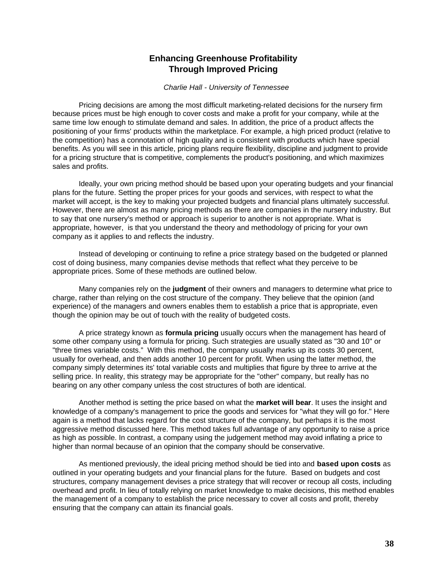# **Enhancing Greenhouse Profitability Through Improved Pricing**

### *Charlie Hall - University of Tennessee*

<span id="page-41-0"></span>Pricing decisions are among the most difficult marketing-related decisions for the nursery firm because prices must be high enough to cover costs and make a profit for your company, while at the same time low enough to stimulate demand and sales. In addition, the price of a product affects the positioning of your firms' products within the marketplace. For example, a high priced product (relative to the competition) has a connotation of high quality and is consistent with products which have special benefits. As you will see in this article, pricing plans require flexibility, discipline and judgment to provide for a pricing structure that is competitive, complements the product's positioning, and which maximizes sales and profits.

Ideally, your own pricing method should be based upon your operating budgets and your financial plans for the future. Setting the proper prices for your goods and services, with respect to what the market will accept, is the key to making your projected budgets and financial plans ultimately successful. However, there are almost as many pricing methods as there are companies in the nursery industry. But to say that one nursery's method or approach is superior to another is not appropriate. What is appropriate, however, is that you understand the theory and methodology of pricing for your own company as it applies to and reflects the industry.

Instead of developing or continuing to refine a price strategy based on the budgeted or planned cost of doing business, many companies devise methods that reflect what they perceive to be appropriate prices. Some of these methods are outlined below.

Many companies rely on the **judgment** of their owners and managers to determine what price to charge, rather than relying on the cost structure of the company. They believe that the opinion (and experience) of the managers and owners enables them to establish a price that is appropriate, even though the opinion may be out of touch with the reality of budgeted costs.

A price strategy known as **formula pricing** usually occurs when the management has heard of some other company using a formula for pricing. Such strategies are usually stated as "30 and 10" or "three times variable costs." With this method, the company usually marks up its costs 30 percent, usually for overhead, and then adds another 10 percent for profit. When using the latter method, the company simply determines its' total variable costs and multiplies that figure by three to arrive at the selling price. In reality, this strategy may be appropriate for the "other" company, but really has no bearing on any other company unless the cost structures of both are identical.

Another method is setting the price based on what the **market will bear**. It uses the insight and knowledge of a company's management to price the goods and services for "what they will go for." Here again is a method that lacks regard for the cost structure of the company, but perhaps it is the most aggressive method discussed here. This method takes full advantage of any opportunity to raise a price as high as possible. In contrast, a company using the judgement method may avoid inflating a price to higher than normal because of an opinion that the company should be conservative.

As mentioned previously, the ideal pricing method should be tied into and **based upon costs** as outlined in your operating budgets and your financial plans for the future. Based on budgets and cost structures, company management devises a price strategy that will recover or recoup all costs, including overhead and profit. In lieu of totally relying on market knowledge to make decisions, this method enables the management of a company to establish the price necessary to cover all costs and profit, thereby ensuring that the company can attain its financial goals.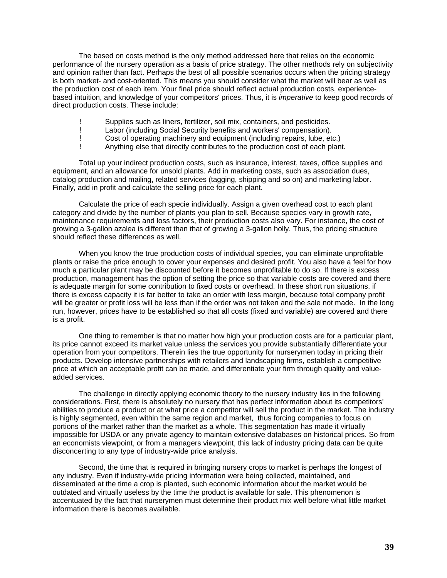The based on costs method is the only method addressed here that relies on the economic performance of the nursery operation as a basis of price strategy. The other methods rely on subjectivity and opinion rather than fact. Perhaps the best of all possible scenarios occurs when the pricing strategy is both market- and cost-oriented. This means you should consider what the market will bear as well as the production cost of each item. Your final price should reflect actual production costs, experiencebased intuition, and knowledge of your competitors' prices. Thus, it is *imperative* to keep good records of direct production costs. These include:

- ! Supplies such as liners, fertilizer, soil mix, containers, and pesticides.
- ! Labor (including Social Security benefits and workers' compensation).
- Cost of operating machinery and equipment (including repairs, lube, etc.)
- ! Anything else that directly contributes to the production cost of each plant.

Total up your indirect production costs, such as insurance, interest, taxes, office supplies and equipment, and an allowance for unsold plants. Add in marketing costs, such as association dues, catalog production and mailing, related services (tagging, shipping and so on) and marketing labor. Finally, add in profit and calculate the selling price for each plant.

Calculate the price of each specie individually. Assign a given overhead cost to each plant category and divide by the number of plants you plan to sell. Because species vary in growth rate, maintenance requirements and loss factors, their production costs also vary. For instance, the cost of growing a 3-gallon azalea is different than that of growing a 3-gallon holly. Thus, the pricing structure should reflect these differences as well.

When you know the true production costs of individual species, you can eliminate unprofitable plants or raise the price enough to cover your expenses and desired profit. You also have a feel for how much a particular plant may be discounted before it becomes unprofitable to do so. If there is excess production, management has the option of setting the price so that variable costs are covered and there is adequate margin for some contribution to fixed costs or overhead. In these short run situations, if there is excess capacity it is far better to take an order with less margin, because total company profit will be greater or profit loss will be less than if the order was not taken and the sale not made. In the long run, however, prices have to be established so that all costs (fixed and variable) are covered and there is a profit.

One thing to remember is that no matter how high your production costs are for a particular plant, its price cannot exceed its market value unless the services you provide substantially differentiate your operation from your competitors. Therein lies the true opportunity for nurserymen today in pricing their products. Develop intensive partnerships with retailers and landscaping firms, establish a competitive price at which an acceptable profit can be made, and differentiate your firm through quality and valueadded services.

The challenge in directly applying economic theory to the nursery industry lies in the following considerations. First, there is absolutely no nursery that has perfect information about its competitors' abilities to produce a product or at what price a competitor will sell the product in the market. The industry is highly segmented, even within the same region and market, thus forcing companies to focus on portions of the market rather than the market as a whole. This segmentation has made it virtually impossible for USDA or any private agency to maintain extensive databases on historical prices. So from an economists viewpoint, or from a managers viewpoint, this lack of industry pricing data can be quite disconcerting to any type of industry-wide price analysis.

Second, the time that is required in bringing nursery crops to market is perhaps the longest of any industry. Even if industry-wide pricing information were being collected, maintained, and disseminated at the time a crop is planted, such economic information about the market would be outdated and virtually useless by the time the product is available for sale. This phenomenon is accentuated by the fact that nurserymen must determine their product mix well before what little market information there is becomes available.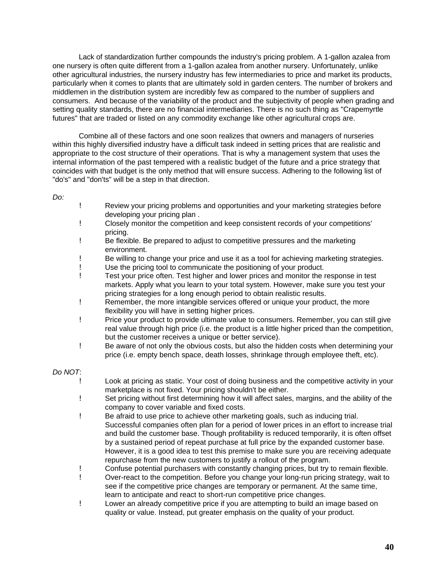Lack of standardization further compounds the industry's pricing problem. A 1-gallon azalea from one nursery is often quite different from a 1-gallon azalea from another nursery. Unfortunately, unlike other agricultural industries, the nursery industry has few intermediaries to price and market its products, particularly when it comes to plants that are ultimately sold in garden centers. The number of brokers and middlemen in the distribution system are incredibly few as compared to the number of suppliers and consumers. And because of the variability of the product and the subjectivity of people when grading and setting quality standards, there are no financial intermediaries. There is no such thing as "Crapemyrtle futures" that are traded or listed on any commodity exchange like other agricultural crops are.

Combine all of these factors and one soon realizes that owners and managers of nurseries within this highly diversified industry have a difficult task indeed in setting prices that are realistic and appropriate to the cost structure of their operations. That is why a management system that uses the internal information of the past tempered with a realistic budget of the future and a price strategy that coincides with that budget is the only method that will ensure success. Adhering to the following list of "do's" and "don'ts" will be a step in that direction.

### *Do:*

- ! Review your pricing problems and opportunities and your marketing strategies before developing your pricing plan .
- ! Closely monitor the competition and keep consistent records of your competitions' pricing.
- ! Be flexible. Be prepared to adjust to competitive pressures and the marketing environment.
- ! Be willing to change your price and use it as a tool for achieving marketing strategies.
- ! Use the pricing tool to communicate the positioning of your product.
- ! Test your price often. Test higher and lower prices and monitor the response in test markets. Apply what you learn to your total system. However, make sure you test your pricing strategies for a long enough period to obtain realistic results.
- ! Remember, the more intangible services offered or unique your product, the more flexibility you will have in setting higher prices.
- ! Price your product to provide ultimate value to consumers. Remember, you can still give real value through high price (i.e. the product is a little higher priced than the competition, but the customer receives a unique or better service).
- ! Be aware of not only the obvious costs, but also the hidden costs when determining your price (i.e. empty bench space, death losses, shrinkage through employee theft, etc).

# *Do NOT*:

- ! Look at pricing as static. Your cost of doing business and the competitive activity in your marketplace is not fixed. Your pricing shouldn't be either.
- ! Set pricing without first determining how it will affect sales, margins, and the ability of the company to cover variable and fixed costs.
- ! Be afraid to use price to achieve other marketing goals, such as inducing trial. Successful companies often plan for a period of lower prices in an effort to increase trial and build the customer base. Though profitability is reduced temporarily, it is often offset by a sustained period of repeat purchase at full price by the expanded customer base. However, it is a good idea to test this premise to make sure you are receiving adequate repurchase from the new customers to justify a rollout of the program.
- ! Confuse potential purchasers with constantly changing prices, but try to remain flexible.
- ! Over-react to the competition. Before you change your long-run pricing strategy, wait to see if the competitive price changes are temporary or permanent. At the same time, learn to anticipate and react to short-run competitive price changes.
- ! Lower an already competitive price if you are attempting to build an image based on quality or value. Instead, put greater emphasis on the quality of your product.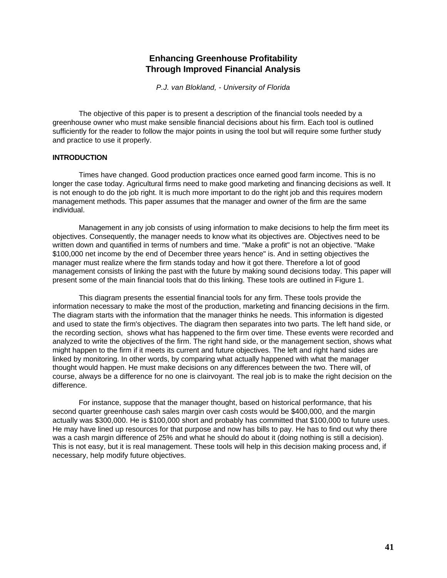# **Enhancing Greenhouse Profitability Through Improved Financial Analysis**

*P.J. van Blokland, - University of Florida*

<span id="page-44-0"></span>The objective of this paper is to present a description of the financial tools needed by a greenhouse owner who must make sensible financial decisions about his firm. Each tool is outlined sufficiently for the reader to follow the major points in using the tool but will require some further study and practice to use it properly.

# **INTRODUCTION**

Times have changed. Good production practices once earned good farm income. This is no longer the case today. Agricultural firms need to make good marketing and financing decisions as well. It is not enough to do the job right. It is much more important to do the right job and this requires modern management methods. This paper assumes that the manager and owner of the firm are the same individual.

Management in any job consists of using information to make decisions to help the firm meet its objectives. Consequently, the manager needs to know what its objectives are. Objectives need to be written down and quantified in terms of numbers and time. "Make a profit" is not an objective. "Make \$100,000 net income by the end of December three years hence" is. And in setting objectives the manager must realize where the firm stands today and how it got there. Therefore a lot of good management consists of linking the past with the future by making sound decisions today. This paper will present some of the main financial tools that do this linking. These tools are outlined in Figure 1.

This diagram presents the essential financial tools for any firm. These tools provide the information necessary to make the most of the production, marketing and financing decisions in the firm. The diagram starts with the information that the manager thinks he needs. This information is digested and used to state the firm's objectives. The diagram then separates into two parts. The left hand side, or the recording section, shows what has happened to the firm over time. These events were recorded and analyzed to write the objectives of the firm. The right hand side, or the management section, shows what might happen to the firm if it meets its current and future objectives. The left and right hand sides are linked by monitoring. In other words, by comparing what actually happened with what the manager thought would happen. He must make decisions on any differences between the two. There will, of course, always be a difference for no one is clairvoyant. The real job is to make the right decision on the difference.

For instance, suppose that the manager thought, based on historical performance, that his second quarter greenhouse cash sales margin over cash costs would be \$400,000, and the margin actually was \$300,000. He is \$100,000 short and probably has committed that \$100,000 to future uses. He may have lined up resources for that purpose and now has bills to pay. He has to find out why there was a cash margin difference of 25% and what he should do about it (doing nothing is still a decision). This is not easy, but it is real management. These tools will help in this decision making process and, if necessary, help modify future objectives.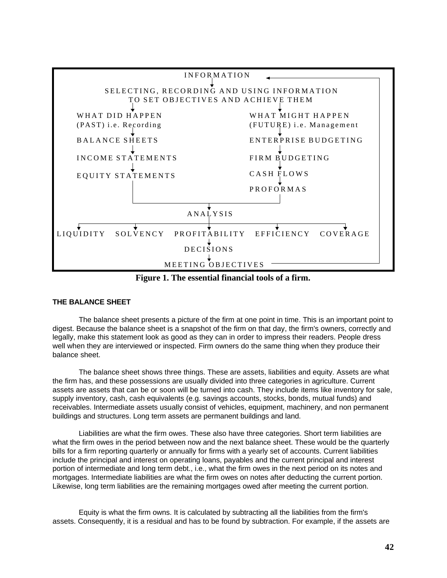

**Figure 1. The essential financial tools of a firm.**

# **THE BALANCE SHEET**

The balance sheet presents a picture of the firm at one point in time. This is an important point to digest. Because the balance sheet is a snapshot of the firm on that day, the firm's owners, correctly and legally, make this statement look as good as they can in order to impress their readers. People dress well when they are interviewed or inspected. Firm owners do the same thing when they produce their balance sheet.

The balance sheet shows three things. These are assets, liabilities and equity. Assets are what the firm has, and these possessions are usually divided into three categories in agriculture. Current assets are assets that can be or soon will be turned into cash. They include items like inventory for sale, supply inventory, cash, cash equivalents (e.g. savings accounts, stocks, bonds, mutual funds) and receivables. Intermediate assets usually consist of vehicles, equipment, machinery, and non permanent buildings and structures. Long term assets are permanent buildings and land.

Liabilities are what the firm owes. These also have three categories. Short term liabilities are what the firm owes in the period between now and the next balance sheet. These would be the quarterly bills for a firm reporting quarterly or annually for firms with a yearly set of accounts. Current liabilities include the principal and interest on operating loans, payables and the current principal and interest portion of intermediate and long term debt., i.e., what the firm owes in the next period on its notes and mortgages. Intermediate liabilities are what the firm owes on notes after deducting the current portion. Likewise, long term liabilities are the remaining mortgages owed after meeting the current portion.

Equity is what the firm owns. It is calculated by subtracting all the liabilities from the firm's assets. Consequently, it is a residual and has to be found by subtraction. For example, if the assets are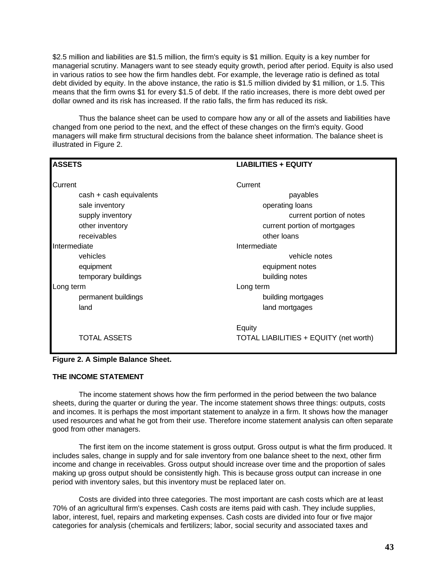\$2.5 million and liabilities are \$1.5 million, the firm's equity is \$1 million. Equity is a key number for managerial scrutiny. Managers want to see steady equity growth, period after period. Equity is also used in various ratios to see how the firm handles debt. For example, the leverage ratio is defined as total debt divided by equity. In the above instance, the ratio is \$1.5 million divided by \$1 million, or 1.5. This means that the firm owns \$1 for every \$1.5 of debt. If the ratio increases, there is more debt owed per dollar owned and its risk has increased. If the ratio falls, the firm has reduced its risk.

Thus the balance sheet can be used to compare how any or all of the assets and liabilities have changed from one period to the next, and the effect of these changes on the firm's equity. Good managers will make firm structural decisions from the balance sheet information. The balance sheet is illustrated in Figure 2.

| <b>ASSETS</b>           | <b>LIABILITIES + EQUITY</b>            |
|-------------------------|----------------------------------------|
| Current                 | Current                                |
| cash + cash equivalents | payables                               |
| sale inventory          | operating loans                        |
| supply inventory        | current portion of notes               |
| other inventory         | current portion of mortgages           |
| receivables             | other loans                            |
| Intermediate            | Intermediate                           |
| vehicles                | vehicle notes                          |
| equipment               | equipment notes                        |
| temporary buildings     | building notes                         |
| Long term               | Long term                              |
| permanent buildings     | building mortgages                     |
| land                    | land mortgages                         |
|                         | Equity                                 |
| <b>TOTAL ASSETS</b>     | TOTAL LIABILITIES + EQUITY (net worth) |

|  | Figure 2. A Simple Balance Sheet. |  |
|--|-----------------------------------|--|
|  |                                   |  |

### **THE INCOME STATEMENT**

The income statement shows how the firm performed in the period between the two balance sheets, during the quarter or during the year. The income statement shows three things: outputs, costs and incomes. It is perhaps the most important statement to analyze in a firm. It shows how the manager used resources and what he got from their use. Therefore income statement analysis can often separate good from other managers.

The first item on the income statement is gross output. Gross output is what the firm produced. It includes sales, change in supply and for sale inventory from one balance sheet to the next, other firm income and change in receivables. Gross output should increase over time and the proportion of sales making up gross output should be consistently high. This is because gross output can increase in one period with inventory sales, but this inventory must be replaced later on.

Costs are divided into three categories. The most important are cash costs which are at least 70% of an agricultural firm's expenses. Cash costs are items paid with cash. They include supplies, labor, interest, fuel, repairs and marketing expenses. Cash costs are divided into four or five major categories for analysis (chemicals and fertilizers; labor, social security and associated taxes and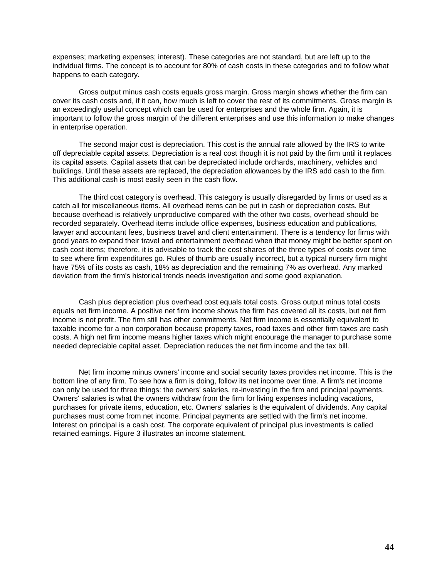expenses; marketing expenses; interest). These categories are not standard, but are left up to the individual firms. The concept is to account for 80% of cash costs in these categories and to follow what happens to each category.

Gross output minus cash costs equals gross margin. Gross margin shows whether the firm can cover its cash costs and, if it can, how much is left to cover the rest of its commitments. Gross margin is an exceedingly useful concept which can be used for enterprises and the whole firm. Again, it is important to follow the gross margin of the different enterprises and use this information to make changes in enterprise operation.

The second major cost is depreciation. This cost is the annual rate allowed by the IRS to write off depreciable capital assets. Depreciation is a real cost though it is not paid by the firm until it replaces its capital assets. Capital assets that can be depreciated include orchards, machinery, vehicles and buildings. Until these assets are replaced, the depreciation allowances by the IRS add cash to the firm. This additional cash is most easily seen in the cash flow.

The third cost category is overhead. This category is usually disregarded by firms or used as a catch all for miscellaneous items. All overhead items can be put in cash or depreciation costs. But because overhead is relatively unproductive compared with the other two costs, overhead should be recorded separately. Overhead items include office expenses, business education and publications, lawyer and accountant fees, business travel and client entertainment. There is a tendency for firms with good years to expand their travel and entertainment overhead when that money might be better spent on cash cost items; therefore, it is advisable to track the cost shares of the three types of costs over time to see where firm expenditures go. Rules of thumb are usually incorrect, but a typical nursery firm might have 75% of its costs as cash, 18% as depreciation and the remaining 7% as overhead. Any marked deviation from the firm's historical trends needs investigation and some good explanation.

Cash plus depreciation plus overhead cost equals total costs. Gross output minus total costs equals net firm income. A positive net firm income shows the firm has covered all its costs, but net firm income is not profit. The firm still has other commitments. Net firm income is essentially equivalent to taxable income for a non corporation because property taxes, road taxes and other firm taxes are cash costs. A high net firm income means higher taxes which might encourage the manager to purchase some needed depreciable capital asset. Depreciation reduces the net firm income and the tax bill.

Net firm income minus owners' income and social security taxes provides net income. This is the bottom line of any firm. To see how a firm is doing, follow its net income over time. A firm's net income can only be used for three things: the owners' salaries, re-investing in the firm and principal payments. Owners' salaries is what the owners withdraw from the firm for living expenses including vacations, purchases for private items, education, etc. Owners' salaries is the equivalent of dividends. Any capital purchases must come from net income. Principal payments are settled with the firm's net income. Interest on principal is a cash cost. The corporate equivalent of principal plus investments is called retained earnings. Figure 3 illustrates an income statement.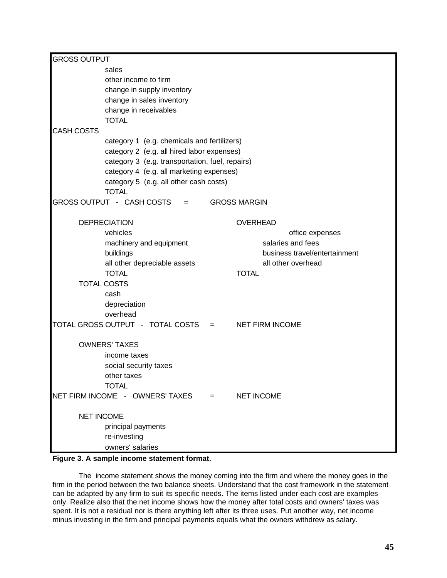| <b>GROSS OUTPUT</b> |                                                        |             |                        |                                                     |  |  |  |  |  |  |
|---------------------|--------------------------------------------------------|-------------|------------------------|-----------------------------------------------------|--|--|--|--|--|--|
|                     | sales<br>other income to firm                          |             |                        |                                                     |  |  |  |  |  |  |
|                     | change in supply inventory                             |             |                        |                                                     |  |  |  |  |  |  |
|                     | change in sales inventory                              |             |                        |                                                     |  |  |  |  |  |  |
|                     | change in receivables                                  |             |                        |                                                     |  |  |  |  |  |  |
|                     | <b>TOTAL</b>                                           |             |                        |                                                     |  |  |  |  |  |  |
| <b>CASH COSTS</b>   | category 1 (e.g. chemicals and fertilizers)            |             |                        |                                                     |  |  |  |  |  |  |
|                     | category 2 (e.g. all hired labor expenses)             |             |                        |                                                     |  |  |  |  |  |  |
|                     | category 3 (e.g. transportation, fuel, repairs)        |             |                        |                                                     |  |  |  |  |  |  |
|                     | category 4 (e.g. all marketing expenses)               |             |                        |                                                     |  |  |  |  |  |  |
|                     | category 5 (e.g. all other cash costs)<br><b>TOTAL</b> |             |                        |                                                     |  |  |  |  |  |  |
|                     | GROSS OUTPUT - CASH COSTS<br>$\equiv$ 1000 $\pm$       |             | <b>GROSS MARGIN</b>    |                                                     |  |  |  |  |  |  |
|                     | <b>DEPRECIATION</b>                                    |             | <b>OVERHEAD</b>        |                                                     |  |  |  |  |  |  |
|                     | vehicles                                               |             |                        | office expenses                                     |  |  |  |  |  |  |
|                     | machinery and equipment                                |             |                        | salaries and fees                                   |  |  |  |  |  |  |
|                     | buildings                                              |             |                        | business travel/entertainment<br>all other overhead |  |  |  |  |  |  |
|                     | all other depreciable assets<br><b>TOTAL</b>           |             | <b>TOTAL</b>           |                                                     |  |  |  |  |  |  |
|                     | <b>TOTAL COSTS</b>                                     |             |                        |                                                     |  |  |  |  |  |  |
|                     | cash                                                   |             |                        |                                                     |  |  |  |  |  |  |
|                     | depreciation                                           |             |                        |                                                     |  |  |  |  |  |  |
|                     | overhead                                               |             |                        |                                                     |  |  |  |  |  |  |
|                     | TOTAL GROSS OUTPUT - TOTAL COSTS                       | $=$ 100 $-$ | <b>NET FIRM INCOME</b> |                                                     |  |  |  |  |  |  |
|                     | <b>OWNERS' TAXES</b>                                   |             |                        |                                                     |  |  |  |  |  |  |
|                     | income taxes                                           |             |                        |                                                     |  |  |  |  |  |  |
|                     | social security taxes                                  |             |                        |                                                     |  |  |  |  |  |  |
|                     | other taxes                                            |             |                        |                                                     |  |  |  |  |  |  |
|                     | <b>TOTAL</b><br>NET FIRM INCOME - OWNERS' TAXES        | $=$         | <b>NET INCOME</b>      |                                                     |  |  |  |  |  |  |
|                     |                                                        |             |                        |                                                     |  |  |  |  |  |  |
| <b>NET INCOME</b>   |                                                        |             |                        |                                                     |  |  |  |  |  |  |
|                     | principal payments                                     |             |                        |                                                     |  |  |  |  |  |  |
|                     | re-investing<br>owners' salaries                       |             |                        |                                                     |  |  |  |  |  |  |
|                     |                                                        |             |                        |                                                     |  |  |  |  |  |  |

# **Figure 3. A sample income statement format.**

The income statement shows the money coming into the firm and where the money goes in the firm in the period between the two balance sheets. Understand that the cost framework in the statement can be adapted by any firm to suit its specific needs. The items listed under each cost are examples only. Realize also that the net income shows how the money after total costs and owners' taxes was spent. It is not a residual nor is there anything left after its three uses. Put another way, net income minus investing in the firm and principal payments equals what the owners withdrew as salary.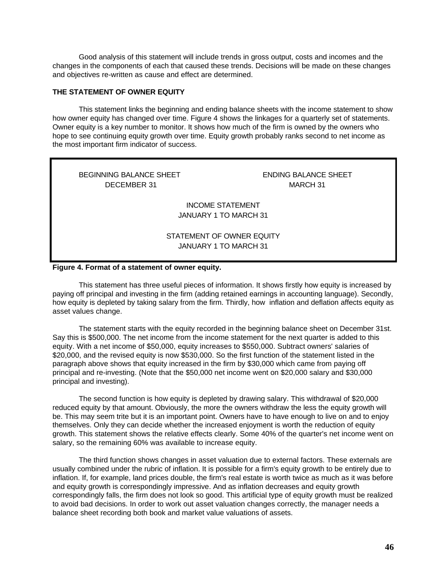Good analysis of this statement will include trends in gross output, costs and incomes and the changes in the components of each that caused these trends. Decisions will be made on these changes and objectives re-written as cause and effect are determined.

# **THE STATEMENT OF OWNER EQUITY**

This statement links the beginning and ending balance sheets with the income statement to show how owner equity has changed over time. Figure 4 shows the linkages for a quarterly set of statements. Owner equity is a key number to monitor. It shows how much of the firm is owned by the owners who hope to see continuing equity growth over time. Equity growth probably ranks second to net income as the most important firm indicator of success.

BEGINNING BALANCE SHEET ENDING BALANCE SHEET DECEMBER 31 MARCH 31

INCOME STATEMENT JANUARY 1 TO MARCH 31

# STATEMENT OF OWNER EQUITY JANUARY 1 TO MARCH 31

# **Figure 4. Format of a statement of owner equity.**

This statement has three useful pieces of information. It shows firstly how equity is increased by paying off principal and investing in the firm (adding retained earnings in accounting language). Secondly, how equity is depleted by taking salary from the firm. Thirdly, how inflation and deflation affects equity as asset values change.

The statement starts with the equity recorded in the beginning balance sheet on December 31st. Say this is \$500,000. The net income from the income statement for the next quarter is added to this equity. With a net income of \$50,000, equity increases to \$550,000. Subtract owners' salaries of \$20,000, and the revised equity is now \$530,000. So the first function of the statement listed in the paragraph above shows that equity increased in the firm by \$30,000 which came from paying off principal and re-investing. (Note that the \$50,000 net income went on \$20,000 salary and \$30,000 principal and investing).

The second function is how equity is depleted by drawing salary. This withdrawal of \$20,000 reduced equity by that amount. Obviously, the more the owners withdraw the less the equity growth will be. This may seem trite but it is an important point. Owners have to have enough to live on and to enjoy themselves. Only they can decide whether the increased enjoyment is worth the reduction of equity growth. This statement shows the relative effects clearly. Some 40% of the quarter's net income went on salary, so the remaining 60% was available to increase equity.

The third function shows changes in asset valuation due to external factors. These externals are usually combined under the rubric of inflation. It is possible for a firm's equity growth to be entirely due to inflation. If, for example, land prices double, the firm's real estate is worth twice as much as it was before and equity growth is correspondingly impressive. And as inflation decreases and equity growth correspondingly falls, the firm does not look so good. This artificial type of equity growth must be realized to avoid bad decisions. In order to work out asset valuation changes correctly, the manager needs a balance sheet recording both book and market value valuations of assets.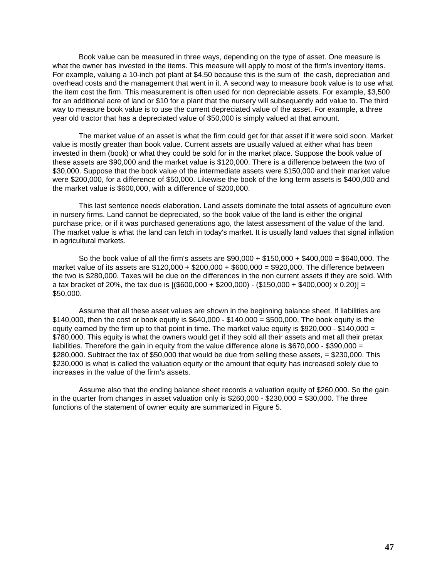Book value can be measured in three ways, depending on the type of asset. One measure is what the owner has invested in the items. This measure will apply to most of the firm's inventory items. For example, valuing a 10-inch pot plant at \$4.50 because this is the sum of the cash, depreciation and overhead costs and the management that went in it. A second way to measure book value is to use what the item cost the firm. This measurement is often used for non depreciable assets. For example, \$3,500 for an additional acre of land or \$10 for a plant that the nursery will subsequently add value to. The third way to measure book value is to use the current depreciated value of the asset. For example, a three year old tractor that has a depreciated value of \$50,000 is simply valued at that amount.

The market value of an asset is what the firm could get for that asset if it were sold soon. Market value is mostly greater than book value. Current assets are usually valued at either what has been invested in them (book) or what they could be sold for in the market place. Suppose the book value of these assets are \$90,000 and the market value is \$120,000. There is a difference between the two of \$30,000. Suppose that the book value of the intermediate assets were \$150,000 and their market value were \$200,000, for a difference of \$50,000. Likewise the book of the long term assets is \$400,000 and the market value is \$600,000, with a difference of \$200,000.

This last sentence needs elaboration. Land assets dominate the total assets of agriculture even in nursery firms. Land cannot be depreciated, so the book value of the land is either the original purchase price, or if it was purchased generations ago, the latest assessment of the value of the land. The market value is what the land can fetch in today's market. It is usually land values that signal inflation in agricultural markets.

So the book value of all the firm's assets are \$90,000 + \$150,000 + \$400,000 = \$640,000. The market value of its assets are \$120,000 + \$200,000 + \$600,000 = \$920,000. The difference between the two is \$280,000. Taxes will be due on the differences in the non current assets if they are sold. With a tax bracket of 20%, the tax due is  $[($600,000 + $200,000) - ($150,000 + $400,000) \times 0.20] =$ \$50,000.

Assume that all these asset values are shown in the beginning balance sheet. If liabilities are \$140,000, then the cost or book equity is \$640,000 - \$140,000 = \$500,000. The book equity is the equity earned by the firm up to that point in time. The market value equity is \$920,000 - \$140,000 = \$780,000. This equity is what the owners would get if they sold all their assets and met all their pretax liabilities. Therefore the gain in equity from the value difference alone is \$670,000 - \$390,000 = \$280,000. Subtract the tax of \$50,000 that would be due from selling these assets, = \$230,000. This \$230,000 is what is called the valuation equity or the amount that equity has increased solely due to increases in the value of the firm's assets.

Assume also that the ending balance sheet records a valuation equity of \$260,000. So the gain in the quarter from changes in asset valuation only is  $$260,000 - $230,000 = $30,000$ . The three functions of the statement of owner equity are summarized in Figure 5.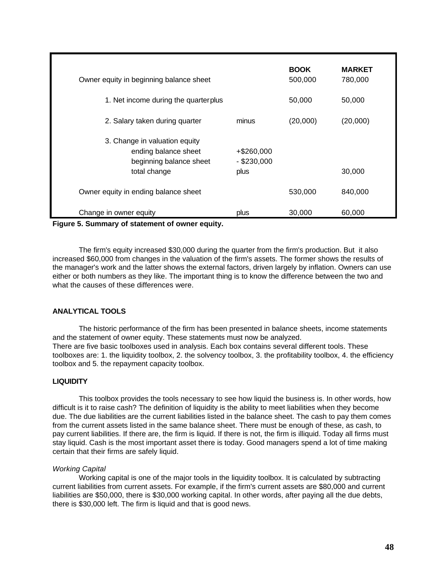| Owner equity in beginning balance sheet<br>1. Net income during the quarter plus                 |                                     | <b>BOOK</b><br>500,000<br>50,000 | <b>MARKET</b><br>780,000<br>50,000 |
|--------------------------------------------------------------------------------------------------|-------------------------------------|----------------------------------|------------------------------------|
| 2. Salary taken during quarter                                                                   | minus                               | (20,000)                         | (20,000)                           |
| 3. Change in valuation equity<br>ending balance sheet<br>beginning balance sheet<br>total change | +\$260,000<br>$-$ \$230,000<br>plus |                                  | 30,000                             |
| Owner equity in ending balance sheet                                                             |                                     | 530,000                          | 840,000                            |
| Change in owner equity<br>- -                                                                    | plus                                | 30,000                           | 60,000                             |

**Figure 5. Summary of statement of owner equity.**

The firm's equity increased \$30,000 during the quarter from the firm's production. But it also increased \$60,000 from changes in the valuation of the firm's assets. The former shows the results of the manager's work and the latter shows the external factors, driven largely by inflation. Owners can use either or both numbers as they like. The important thing is to know the difference between the two and what the causes of these differences were.

# **ANALYTICAL TOOLS**

The historic performance of the firm has been presented in balance sheets, income statements and the statement of owner equity. These statements must now be analyzed. There are five basic toolboxes used in analysis. Each box contains several different tools. These toolboxes are: 1. the liquidity toolbox, 2. the solvency toolbox, 3. the profitability toolbox, 4. the efficiency toolbox and 5. the repayment capacity toolbox.

# **LIQUIDITY**

This toolbox provides the tools necessary to see how liquid the business is. In other words, how difficult is it to raise cash? The definition of liquidity is the ability to meet liabilities when they become due. The due liabilities are the current liabilities listed in the balance sheet. The cash to pay them comes from the current assets listed in the same balance sheet. There must be enough of these, as cash, to pay current liabilities. If there are, the firm is liquid. If there is not, the firm is illiquid. Today all firms must stay liquid. Cash is the most important asset there is today. Good managers spend a lot of time making certain that their firms are safely liquid.

### *Working Capital*

Working capital is one of the major tools in the liquidity toolbox. It is calculated by subtracting current liabilities from current assets. For example, if the firm's current assets are \$80,000 and current liabilities are \$50,000, there is \$30,000 working capital. In other words, after paying all the due debts, there is \$30,000 left. The firm is liquid and that is good news.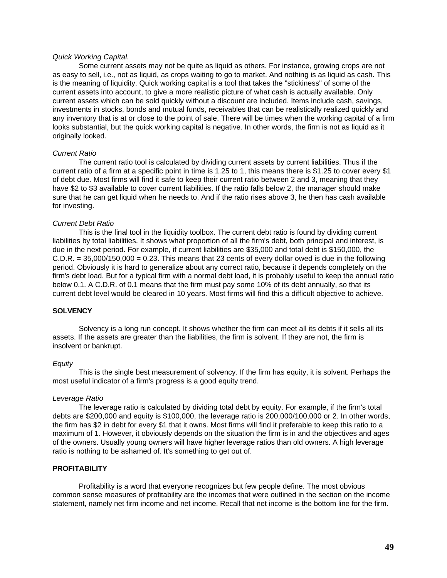### *Quick Working Capital.*

Some current assets may not be quite as liquid as others. For instance, growing crops are not as easy to sell, i.e., not as liquid, as crops waiting to go to market. And nothing is as liquid as cash. This is the meaning of liquidity. Quick working capital is a tool that takes the "stickiness" of some of the current assets into account, to give a more realistic picture of what cash is actually available. Only current assets which can be sold quickly without a discount are included. Items include cash, savings, investments in stocks, bonds and mutual funds, receivables that can be realistically realized quickly and any inventory that is at or close to the point of sale. There will be times when the working capital of a firm looks substantial, but the quick working capital is negative. In other words, the firm is not as liquid as it originally looked.

### *Current Ratio*

The current ratio tool is calculated by dividing current assets by current liabilities. Thus if the current ratio of a firm at a specific point in time is 1.25 to 1, this means there is \$1.25 to cover every \$1 of debt due. Most firms will find it safe to keep their current ratio between 2 and 3, meaning that they have \$2 to \$3 available to cover current liabilities. If the ratio falls below 2, the manager should make sure that he can get liquid when he needs to. And if the ratio rises above 3, he then has cash available for investing.

### *Current Debt Ratio*

This is the final tool in the liquidity toolbox. The current debt ratio is found by dividing current liabilities by total liabilities. It shows what proportion of all the firm's debt, both principal and interest, is due in the next period. For example, if current liabilities are \$35,000 and total debt is \$150,000, the  $C.D.R. = 35,000/150,000 = 0.23$ . This means that 23 cents of every dollar owed is due in the following period. Obviously it is hard to generalize about any correct ratio, because it depends completely on the firm's debt load. But for a typical firm with a normal debt load, it is probably useful to keep the annual ratio below 0.1. A C.D.R. of 0.1 means that the firm must pay some 10% of its debt annually, so that its current debt level would be cleared in 10 years. Most firms will find this a difficult objective to achieve.

# **SOLVENCY**

Solvency is a long run concept. It shows whether the firm can meet all its debts if it sells all its assets. If the assets are greater than the liabilities, the firm is solvent. If they are not, the firm is insolvent or bankrupt.

#### *Equity*

This is the single best measurement of solvency. If the firm has equity, it is solvent. Perhaps the most useful indicator of a firm's progress is a good equity trend.

#### *Leverage Ratio*

The leverage ratio is calculated by dividing total debt by equity. For example, if the firm's total debts are \$200,000 and equity is \$100,000, the leverage ratio is 200,000/100,000 or 2. In other words, the firm has \$2 in debt for every \$1 that it owns. Most firms will find it preferable to keep this ratio to a maximum of 1. However, it obviously depends on the situation the firm is in and the objectives and ages of the owners. Usually young owners will have higher leverage ratios than old owners. A high leverage ratio is nothing to be ashamed of. It's something to get out of.

### **PROFITABILITY**

Profitability is a word that everyone recognizes but few people define. The most obvious common sense measures of profitability are the incomes that were outlined in the section on the income statement, namely net firm income and net income. Recall that net income is the bottom line for the firm.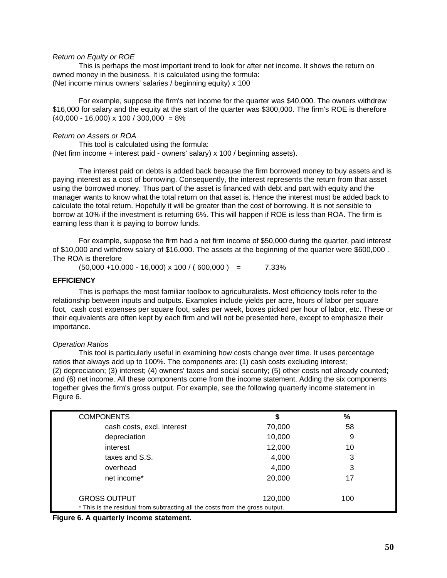### *Return on Equity or ROE*

This is perhaps the most important trend to look for after net income. It shows the return on owned money in the business. It is calculated using the formula: (Net income minus owners' salaries / beginning equity) x 100

For example, suppose the firm's net income for the quarter was \$40,000. The owners withdrew \$16,000 for salary and the equity at the start of the quarter was \$300,000. The firm's ROE is therefore  $(40,000 - 16,000) \times 100 / 300,000 = 8\%$ 

### *Return on Assets or ROA*

This tool is calculated using the formula: (Net firm income + interest paid - owners' salary) x 100 / beginning assets).

The interest paid on debts is added back because the firm borrowed money to buy assets and is paying interest as a cost of borrowing. Consequently, the interest represents the return from that asset using the borrowed money. Thus part of the asset is financed with debt and part with equity and the manager wants to know what the total return on that asset is. Hence the interest must be added back to calculate the total return. Hopefully it will be greater than the cost of borrowing. It is not sensible to borrow at 10% if the investment is returning 6%. This will happen if ROE is less than ROA. The firm is earning less than it is paying to borrow funds.

For example, suppose the firm had a net firm income of \$50,000 during the quarter, paid interest of \$10,000 and withdrew salary of \$16,000. The assets at the beginning of the quarter were \$600,000 . The ROA is therefore

 $(50,000 + 10,000 - 16,000) \times 100 / (600,000) = 7.33\%$ 

### **EFFICIENCY**

This is perhaps the most familiar toolbox to agriculturalists. Most efficiency tools refer to the relationship between inputs and outputs. Examples include yields per acre, hours of labor per square foot, cash cost expenses per square foot, sales per week, boxes picked per hour of labor, etc. These or their equivalents are often kept by each firm and will not be presented here, except to emphasize their importance.

### *Operation Ratios*

This tool is particularly useful in examining how costs change over time. It uses percentage ratios that always add up to 100%. The components are: (1) cash costs excluding interest; (2) depreciation; (3) interest; (4) owners' taxes and social security; (5) other costs not already counted; and (6) net income. All these components come from the income statement. Adding the six components together gives the firm's gross output. For example, see the following quarterly income statement in Figure 6.

| <b>COMPONENTS</b>                                                            | \$      | $\%$ |  |  |  |
|------------------------------------------------------------------------------|---------|------|--|--|--|
| cash costs, excl. interest                                                   | 70,000  | 58   |  |  |  |
| depreciation                                                                 | 10,000  | 9    |  |  |  |
| interest                                                                     | 12,000  | 10   |  |  |  |
| taxes and S.S.                                                               | 4,000   | 3    |  |  |  |
| overhead                                                                     | 4,000   | 3    |  |  |  |
| net income*                                                                  | 20,000  | 17   |  |  |  |
| <b>GROSS OUTPUT</b>                                                          | 120,000 | 100  |  |  |  |
| * This is the residual from subtracting all the costs from the gross output. |         |      |  |  |  |

**Figure 6. A quarterly income statement.**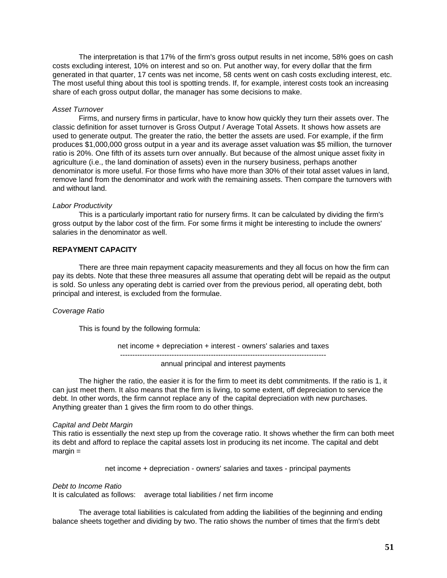The interpretation is that 17% of the firm's gross output results in net income, 58% goes on cash costs excluding interest, 10% on interest and so on. Put another way, for every dollar that the firm generated in that quarter, 17 cents was net income, 58 cents went on cash costs excluding interest, etc. The most useful thing about this tool is spotting trends. If, for example, interest costs took an increasing share of each gross output dollar, the manager has some decisions to make.

#### *Asset Turnover*

Firms, and nursery firms in particular, have to know how quickly they turn their assets over. The classic definition for asset turnover is Gross Output / Average Total Assets. It shows how assets are used to generate output. The greater the ratio, the better the assets are used. For example, if the firm produces \$1,000,000 gross output in a year and its average asset valuation was \$5 million, the turnover ratio is 20%. One fifth of its assets turn over annually. But because of the almost unique asset fixity in agriculture (i.e., the land domination of assets) even in the nursery business, perhaps another denominator is more useful. For those firms who have more than 30% of their total asset values in land, remove land from the denominator and work with the remaining assets. Then compare the turnovers with and without land.

#### *Labor Productivity*

This is a particularly important ratio for nursery firms. It can be calculated by dividing the firm's gross output by the labor cost of the firm. For some firms it might be interesting to include the owners' salaries in the denominator as well.

### **REPAYMENT CAPACITY**

There are three main repayment capacity measurements and they all focus on how the firm can pay its debts. Note that these three measures all assume that operating debt will be repaid as the output is sold. So unless any operating debt is carried over from the previous period, all operating debt, both principal and interest, is excluded from the formulae.

### *Coverage Ratio*

This is found by the following formula:

net income + depreciation + interest - owners' salaries and taxes ------------------------------------------------------------------------------------

annual principal and interest payments

The higher the ratio, the easier it is for the firm to meet its debt commitments. If the ratio is 1, it can just meet them. It also means that the firm is living, to some extent, off depreciation to service the debt. In other words, the firm cannot replace any of the capital depreciation with new purchases. Anything greater than 1 gives the firm room to do other things.

### *Capital and Debt Margin*

This ratio is essentially the next step up from the coverage ratio. It shows whether the firm can both meet its debt and afford to replace the capital assets lost in producing its net income. The capital and debt margin =

net income + depreciation - owners' salaries and taxes - principal payments

#### *Debt to Income Ratio*

It is calculated as follows: average total liabilities / net firm income

The average total liabilities is calculated from adding the liabilities of the beginning and ending balance sheets together and dividing by two. The ratio shows the number of times that the firm's debt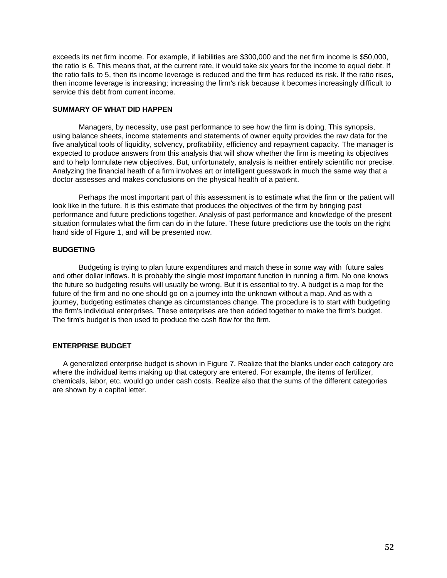exceeds its net firm income. For example, if liabilities are \$300,000 and the net firm income is \$50,000, the ratio is 6. This means that, at the current rate, it would take six years for the income to equal debt. If the ratio falls to 5, then its income leverage is reduced and the firm has reduced its risk. If the ratio rises, then income leverage is increasing; increasing the firm's risk because it becomes increasingly difficult to service this debt from current income.

### **SUMMARY OF WHAT DID HAPPEN**

Managers, by necessity, use past performance to see how the firm is doing. This synopsis, using balance sheets, income statements and statements of owner equity provides the raw data for the five analytical tools of liquidity, solvency, profitability, efficiency and repayment capacity. The manager is expected to produce answers from this analysis that will show whether the firm is meeting its objectives and to help formulate new objectives. But, unfortunately, analysis is neither entirely scientific nor precise. Analyzing the financial heath of a firm involves art or intelligent guesswork in much the same way that a doctor assesses and makes conclusions on the physical health of a patient.

Perhaps the most important part of this assessment is to estimate what the firm or the patient will look like in the future. It is this estimate that produces the objectives of the firm by bringing past performance and future predictions together. Analysis of past performance and knowledge of the present situation formulates what the firm can do in the future. These future predictions use the tools on the right hand side of Figure 1, and will be presented now.

# **BUDGETING**

Budgeting is trying to plan future expenditures and match these in some way with future sales and other dollar inflows. It is probably the single most important function in running a firm. No one knows the future so budgeting results will usually be wrong. But it is essential to try. A budget is a map for the future of the firm and no one should go on a journey into the unknown without a map. And as with a journey, budgeting estimates change as circumstances change. The procedure is to start with budgeting the firm's individual enterprises. These enterprises are then added together to make the firm's budget. The firm's budget is then used to produce the cash flow for the firm.

# **ENTERPRISE BUDGET**

 A generalized enterprise budget is shown in Figure 7. Realize that the blanks under each category are where the individual items making up that category are entered. For example, the items of fertilizer, chemicals, labor, etc. would go under cash costs. Realize also that the sums of the different categories are shown by a capital letter.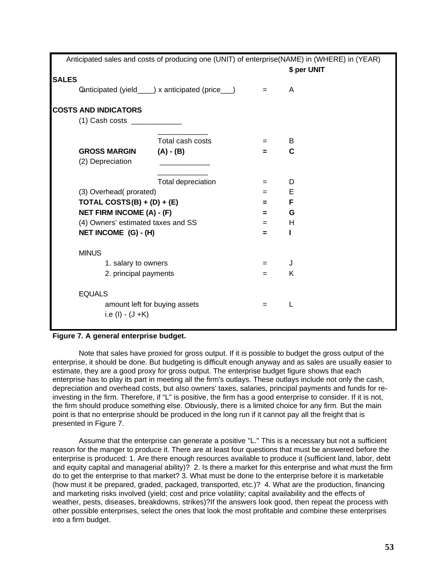|                                                        |                                                 |                                                                                                             | Anticipated sales and costs of producing one (UNIT) of enterprise(NAME) in (WHERE) in (YEAR)<br>\$ per UNIT |
|--------------------------------------------------------|-------------------------------------------------|-------------------------------------------------------------------------------------------------------------|-------------------------------------------------------------------------------------------------------------|
| <b>SALES</b>                                           |                                                 |                                                                                                             |                                                                                                             |
|                                                        | Canticipated (yield___) x anticipated (price__) | $\label{eq:2.1} \mathcal{L}_{\mathcal{A}}(x) = \mathcal{L}_{\mathcal{A}}(x) + \mathcal{L}_{\mathcal{A}}(x)$ | A                                                                                                           |
| <b>COSTS AND INDICATORS</b>                            |                                                 |                                                                                                             |                                                                                                             |
| $(1)$ Cash costs ______________                        |                                                 |                                                                                                             |                                                                                                             |
|                                                        | Total cash costs                                | $=$                                                                                                         | B                                                                                                           |
| <b>GROSS MARGIN</b>                                    | $(A) - (B)$                                     | $=$                                                                                                         | C                                                                                                           |
| (2) Depreciation                                       |                                                 |                                                                                                             |                                                                                                             |
|                                                        | Total depreciation                              | =                                                                                                           | D                                                                                                           |
| (3) Overhead(prorated)                                 |                                                 | $=$                                                                                                         | E                                                                                                           |
| TOTAL COSTS(B) + (D) + (E)                             |                                                 | $=$                                                                                                         | F                                                                                                           |
| <b>NET FIRM INCOME (A) - (F)</b>                       |                                                 | $=$                                                                                                         | G                                                                                                           |
| (4) Owners' estimated taxes and SS                     |                                                 | $=$                                                                                                         | Н                                                                                                           |
| NET INCOME (G) - (H)                                   |                                                 | =                                                                                                           | L                                                                                                           |
| <b>MINUS</b>                                           |                                                 |                                                                                                             |                                                                                                             |
| 1. salary to owners                                    |                                                 | =                                                                                                           | J                                                                                                           |
| 2. principal payments                                  |                                                 | $=$                                                                                                         | K                                                                                                           |
| <b>EQUALS</b>                                          |                                                 |                                                                                                             |                                                                                                             |
| amount left for buying assets<br>i.e (l) $-$ (J $+$ K) |                                                 | $=$                                                                                                         | L                                                                                                           |

# **Figure 7. A general enterprise budget.**

Note that sales have proxied for gross output. If it is possible to budget the gross output of the enterprise, it should be done. But budgeting is difficult enough anyway and as sales are usually easier to estimate, they are a good proxy for gross output. The enterprise budget figure shows that each enterprise has to play its part in meeting all the firm's outlays. These outlays include not only the cash, depreciation and overhead costs, but also owners' taxes, salaries, principal payments and funds for reinvesting in the firm. Therefore, if "L" is positive, the firm has a good enterprise to consider. If it is not, the firm should produce something else. Obviously, there is a limited choice for any firm. But the main point is that no enterprise should be produced in the long run if it cannot pay all the freight that is presented in Figure 7.

Assume that the enterprise can generate a positive "L." This is a necessary but not a sufficient reason for the manger to produce it. There are at least four questions that must be answered before the enterprise is produced: 1. Are there enough resources available to produce it (sufficient land, labor, debt and equity capital and managerial ability)? 2. Is there a market for this enterprise and what must the firm do to get the enterprise to that market? 3. What must be done to the enterprise before it is marketable (how must it be prepared, graded, packaged, transported, etc.)? 4. What are the production, financing and marketing risks involved (yield; cost and price volatility; capital availability and the effects of weather, pests, diseases, breakdowns, strikes)?If the answers look good, then repeat the process with other possible enterprises, select the ones that look the most profitable and combine these enterprises into a firm budget.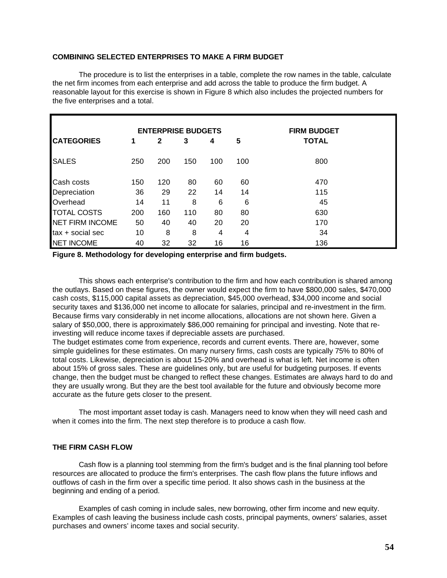## **COMBINING SELECTED ENTERPRISES TO MAKE A FIRM BUDGET**

The procedure is to list the enterprises in a table, complete the row names in the table, calculate the net firm incomes from each enterprise and add across the table to produce the firm budget. A reasonable layout for this exercise is shown in Figure 8 which also includes the projected numbers for the five enterprises and a total.

|                        | <b>ENTERPRISE BUDGETS</b> |     |     |     |     | <b>FIRM BUDGET</b> |  |  |
|------------------------|---------------------------|-----|-----|-----|-----|--------------------|--|--|
| <b>CATEGORIES</b>      | 1                         | 2   | 3   | 4   | 5   | <b>TOTAL</b>       |  |  |
| <b>SALES</b>           | 250                       | 200 | 150 | 100 | 100 | 800                |  |  |
| Cash costs             | 150                       | 120 | 80  | 60  | 60  | 470                |  |  |
| Depreciation           | 36                        | 29  | 22  | 14  | 14  | 115                |  |  |
| Overhead               | 14                        | 11  | 8   | 6   | 6   | 45                 |  |  |
| <b>TOTAL COSTS</b>     | 200                       | 160 | 110 | 80  | 80  | 630                |  |  |
| <b>NET FIRM INCOME</b> | 50                        | 40  | 40  | 20  | 20  | 170                |  |  |
| tax + social sec       | 10                        | 8   | 8   | 4   | 4   | 34                 |  |  |
| <b>NET INCOME</b>      | 40                        | 32  | 32  | 16  | 16  | 136                |  |  |

**Figure 8. Methodology for developing enterprise and firm budgets.**

This shows each enterprise's contribution to the firm and how each contribution is shared among the outlays. Based on these figures, the owner would expect the firm to have \$800,000 sales, \$470,000 cash costs, \$115,000 capital assets as depreciation, \$45,000 overhead, \$34,000 income and social security taxes and \$136,000 net income to allocate for salaries, principal and re-investment in the firm. Because firms vary considerably in net income allocations, allocations are not shown here. Given a salary of \$50,000, there is approximately \$86,000 remaining for principal and investing. Note that reinvesting will reduce income taxes if depreciable assets are purchased.

The budget estimates come from experience, records and current events. There are, however, some simple guidelines for these estimates. On many nursery firms, cash costs are typically 75% to 80% of total costs. Likewise, depreciation is about 15-20% and overhead is what is left. Net income is often about 15% of gross sales. These are guidelines only, but are useful for budgeting purposes. If events change, then the budget must be changed to reflect these changes. Estimates are always hard to do and they are usually wrong. But they are the best tool available for the future and obviously become more accurate as the future gets closer to the present.

The most important asset today is cash. Managers need to know when they will need cash and when it comes into the firm. The next step therefore is to produce a cash flow.

### **THE FIRM CASH FLOW**

Cash flow is a planning tool stemming from the firm's budget and is the final planning tool before resources are allocated to produce the firm's enterprises. The cash flow plans the future inflows and outflows of cash in the firm over a specific time period. It also shows cash in the business at the beginning and ending of a period.

Examples of cash coming in include sales, new borrowing, other firm income and new equity. Examples of cash leaving the business include cash costs, principal payments, owners' salaries, asset purchases and owners' income taxes and social security.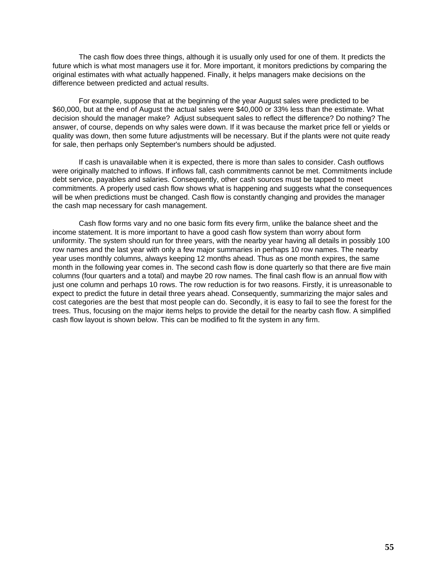The cash flow does three things, although it is usually only used for one of them. It predicts the future which is what most managers use it for. More important, it monitors predictions by comparing the original estimates with what actually happened. Finally, it helps managers make decisions on the difference between predicted and actual results.

For example, suppose that at the beginning of the year August sales were predicted to be \$60,000, but at the end of August the actual sales were \$40,000 or 33% less than the estimate. What decision should the manager make? Adjust subsequent sales to reflect the difference? Do nothing? The answer, of course, depends on why sales were down. If it was because the market price fell or yields or quality was down, then some future adjustments will be necessary. But if the plants were not quite ready for sale, then perhaps only September's numbers should be adjusted.

If cash is unavailable when it is expected, there is more than sales to consider. Cash outflows were originally matched to inflows. If inflows fall, cash commitments cannot be met. Commitments include debt service, payables and salaries. Consequently, other cash sources must be tapped to meet commitments. A properly used cash flow shows what is happening and suggests what the consequences will be when predictions must be changed. Cash flow is constantly changing and provides the manager the cash map necessary for cash management.

Cash flow forms vary and no one basic form fits every firm, unlike the balance sheet and the income statement. It is more important to have a good cash flow system than worry about form uniformity. The system should run for three years, with the nearby year having all details in possibly 100 row names and the last year with only a few major summaries in perhaps 10 row names. The nearby year uses monthly columns, always keeping 12 months ahead. Thus as one month expires, the same month in the following year comes in. The second cash flow is done quarterly so that there are five main columns (four quarters and a total) and maybe 20 row names. The final cash flow is an annual flow with just one column and perhaps 10 rows. The row reduction is for two reasons. Firstly, it is unreasonable to expect to predict the future in detail three years ahead. Consequently, summarizing the major sales and cost categories are the best that most people can do. Secondly, it is easy to fail to see the forest for the trees. Thus, focusing on the major items helps to provide the detail for the nearby cash flow. A simplified cash flow layout is shown below. This can be modified to fit the system in any firm.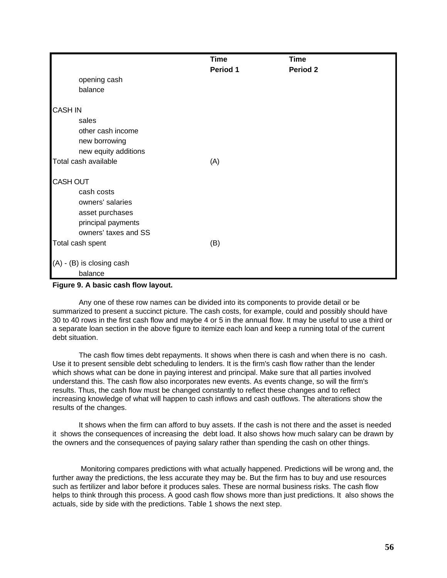|          | <b>Time</b>               |
|----------|---------------------------|
| Period 1 | Period <sub>2</sub>       |
|          |                           |
|          |                           |
|          |                           |
|          |                           |
|          |                           |
|          |                           |
|          |                           |
|          |                           |
|          |                           |
|          |                           |
|          |                           |
|          |                           |
|          |                           |
|          |                           |
|          |                           |
|          |                           |
|          |                           |
|          |                           |
|          |                           |
|          |                           |
|          |                           |
|          | <b>Time</b><br>(A)<br>(B) |

**Figure 9. A basic cash flow layout.**

Any one of these row names can be divided into its components to provide detail or be summarized to present a succinct picture. The cash costs, for example, could and possibly should have 30 to 40 rows in the first cash flow and maybe 4 or 5 in the annual flow. It may be useful to use a third or a separate loan section in the above figure to itemize each loan and keep a running total of the current debt situation.

The cash flow times debt repayments. It shows when there is cash and when there is no cash. Use it to present sensible debt scheduling to lenders. It is the firm's cash flow rather than the lender which shows what can be done in paying interest and principal. Make sure that all parties involved understand this. The cash flow also incorporates new events. As events change, so will the firm's results. Thus, the cash flow must be changed constantly to reflect these changes and to reflect increasing knowledge of what will happen to cash inflows and cash outflows. The alterations show the results of the changes.

It shows when the firm can afford to buy assets. If the cash is not there and the asset is needed it shows the consequences of increasing the debt load. It also shows how much salary can be drawn by the owners and the consequences of paying salary rather than spending the cash on other things.

 Monitoring compares predictions with what actually happened. Predictions will be wrong and, the further away the predictions, the less accurate they may be. But the firm has to buy and use resources such as fertilizer and labor before it produces sales. These are normal business risks. The cash flow helps to think through this process. A good cash flow shows more than just predictions. It also shows the actuals, side by side with the predictions. Table 1 shows the next step.